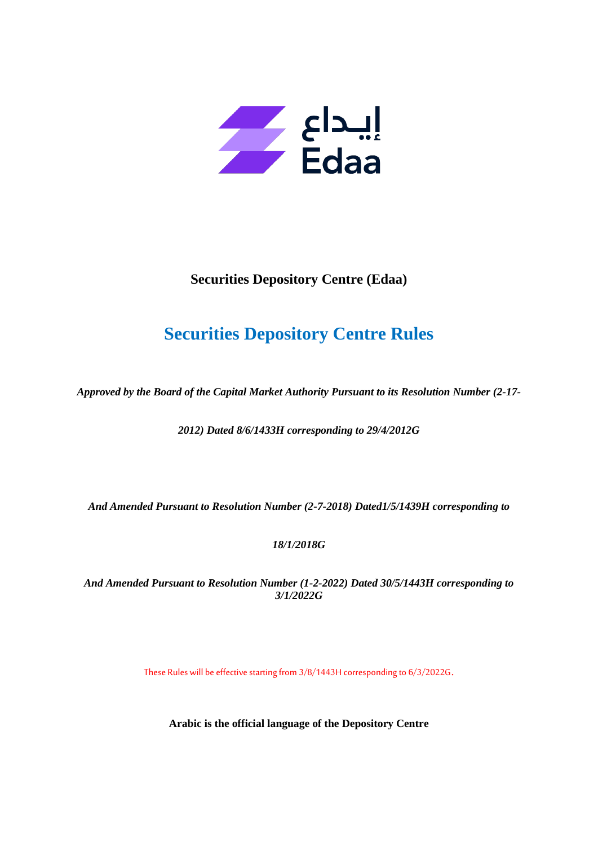

# **Securities Depository Centre (Edaa)**

# **Securities Depository Centre Rules**

*Approved by the Board of the Capital Market Authority Pursuant to its Resolution Number (2-17-*

*2012) Dated 8/6/1433H corresponding to 29/4/2012G*

*And Amended Pursuant to Resolution Number (2-7-2018) Dated1/5/1439H corresponding to* 

*18/1/2018G*

*And Amended Pursuant to Resolution Number (1-2-2022) Dated 30/5/1443H corresponding to 3/1/2022G*

These Rules will be effective starting from 3/8/1443H corresponding to 6/3/2022G.

**Arabic is the official language of the Depository Centre**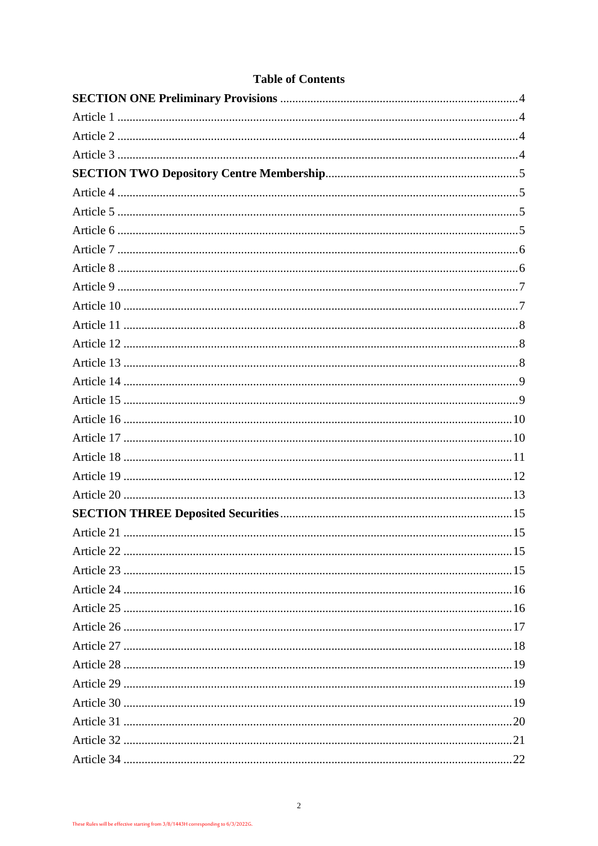# **Table of Contents**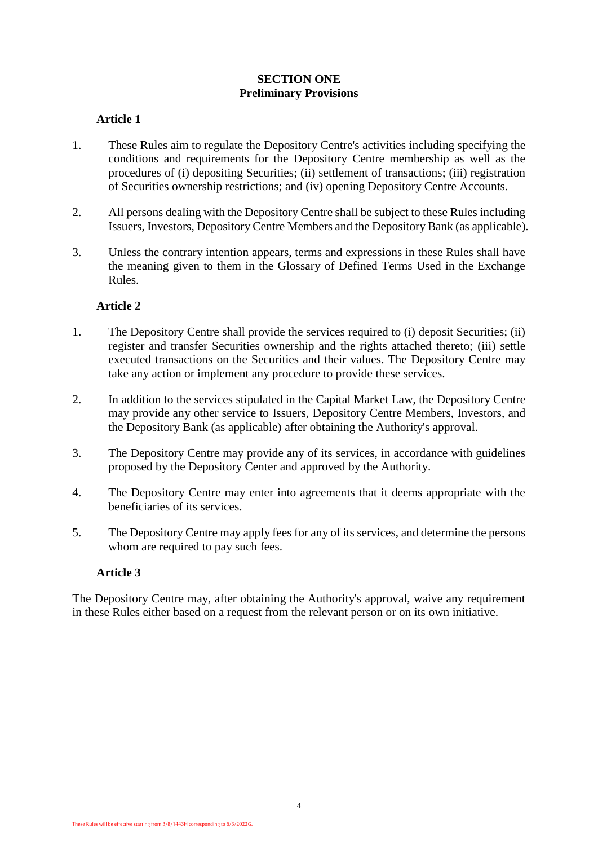# **SECTION ONE Preliminary Provisions**

# <span id="page-3-1"></span><span id="page-3-0"></span>**Article 1**

- 1. These Rules aim to regulate the Depository Centre's activities including specifying the conditions and requirements for the Depository Centre membership as well as the procedures of (i) depositing Securities; (ii) settlement of transactions; (iii) registration of Securities ownership restrictions; and (iv) opening Depository Centre Accounts.
- 2. All persons dealing with the Depository Centre shall be subject to these Rules including Issuers, Investors, Depository Centre Members and the Depository Bank (as applicable).
- 3. Unless the contrary intention appears, terms and expressions in these Rules shall have the meaning given to them in the Glossary of Defined Terms Used in the Exchange Rules.

# **Article 2**

- <span id="page-3-2"></span>1. The Depository Centre shall provide the services required to (i) deposit Securities; (ii) register and transfer Securities ownership and the rights attached thereto; (iii) settle executed transactions on the Securities and their values. The Depository Centre may take any action or implement any procedure to provide these services.
- 2. In addition to the services stipulated in the Capital Market Law, the Depository Centre may provide any other service to Issuers, Depository Centre Members, Investors, and the Depository Bank (as applicable**(** after obtaining the Authority's approval.
- 3. The Depository Centre may provide any of its services, in accordance with guidelines proposed by the Depository Center and approved by the Authority.
- 4. The Depository Centre may enter into agreements that it deems appropriate with the beneficiaries of its services.
- 5. The Depository Centre may apply fees for any of its services, and determine the persons whom are required to pay such fees.

#### <span id="page-3-3"></span>**Article 3**

The Depository Centre may, after obtaining the Authority's approval, waive any requirement in these Rules either based on a request from the relevant person or on its own initiative.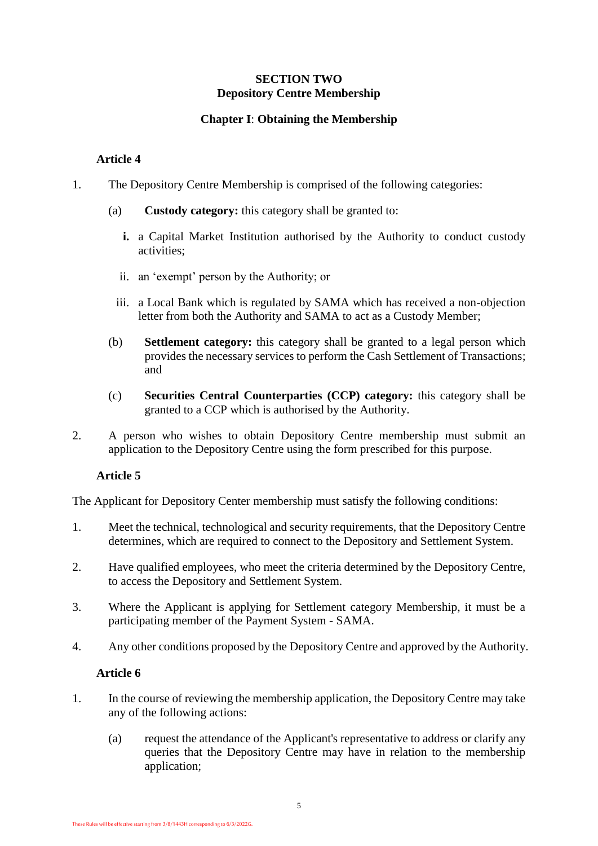# **SECTION TWO Depository Centre Membership**

# **Chapter I**: **Obtaining the Membership**

# <span id="page-4-0"></span>**Article 4**

- <span id="page-4-1"></span>1. The Depository Centre Membership is comprised of the following categories:
	- (a) **Custody category:** this category shall be granted to:
		- **i.** a Capital Market Institution authorised by the Authority to conduct custody activities;
		- ii. an 'exempt' person by the Authority; or
		- iii. a Local Bank which is regulated by SAMA which has received a non-objection letter from both the Authority and SAMA to act as a Custody Member;
	- (b) **Settlement category:** this category shall be granted to a legal person which provides the necessary services to perform the Cash Settlement of Transactions; and
	- (c) **Securities Central Counterparties (CCP) category:** this category shall be granted to a CCP which is authorised by the Authority.
- 2. A person who wishes to obtain Depository Centre membership must submit an application to the Depository Centre using the form prescribed for this purpose.

# **Article 5**

<span id="page-4-2"></span>The Applicant for Depository Center membership must satisfy the following conditions:

- 1. Meet the technical, technological and security requirements, that the Depository Centre determines, which are required to connect to the Depository and Settlement System.
- 2. Have qualified employees, who meet the criteria determined by the Depository Centre, to access the Depository and Settlement System.
- 3. Where the Applicant is applying for Settlement category Membership, it must be a participating member of the Payment System - SAMA.
- <span id="page-4-3"></span>4. Any other conditions proposed by the Depository Centre and approved by the Authority.

- <span id="page-4-4"></span>1. In the course of reviewing the membership application, the Depository Centre may take any of the following actions:
	- (a) request the attendance of the Applicant's representative to address or clarify any queries that the Depository Centre may have in relation to the membership application;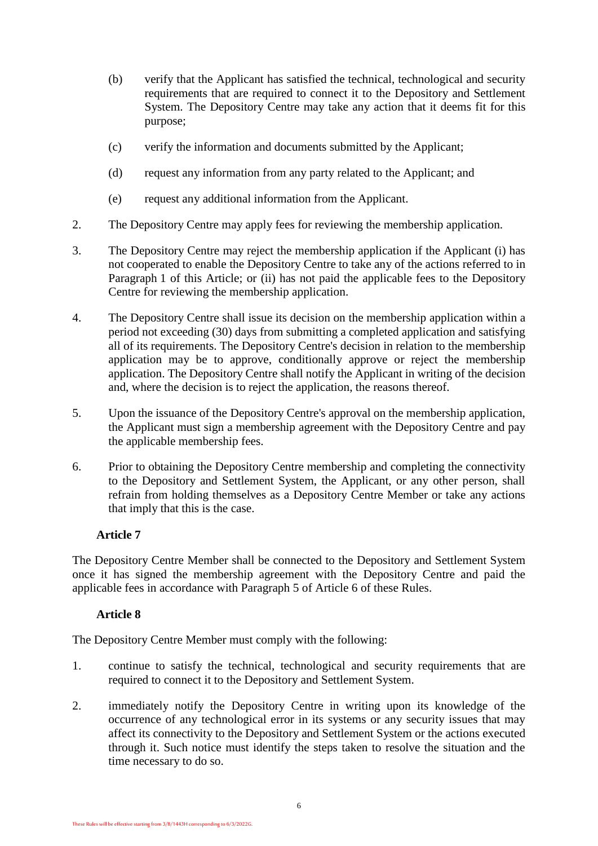- (b) verify that the Applicant has satisfied the technical, technological and security requirements that are required to connect it to the Depository and Settlement System. The Depository Centre may take any action that it deems fit for this purpose;
- (c) verify the information and documents submitted by the Applicant;
- (d) request any information from any party related to the Applicant; and
- (e) request any additional information from the Applicant.
- 2. The Depository Centre may apply fees for reviewing the membership application.
- 3. The Depository Centre may reject the membership application if the Applicant (i) has not cooperated to enable the Depository Centre to take any of the actions referred to in Paragraph [1](#page-4-4) of this Article; or (ii) has not paid the applicable fees to the Depository Centre for reviewing the membership application.
- 4. The Depository Centre shall issue its decision on the membership application within a period not exceeding (30) days from submitting a completed application and satisfying all of its requirements. The Depository Centre's decision in relation to the membership application may be to approve, conditionally approve or reject the membership application. The Depository Centre shall notify the Applicant in writing of the decision and, where the decision is to reject the application, the reasons thereof.
- 5. Upon the issuance of the Depository Centre's approval on the membership application, the Applicant must sign a membership agreement with the Depository Centre and pay the applicable membership fees.
- 6. Prior to obtaining the Depository Centre membership and completing the connectivity to the Depository and Settlement System, the Applicant, or any other person, shall refrain from holding themselves as a Depository Centre Member or take any actions that imply that this is the case.

<span id="page-5-0"></span>The Depository Centre Member shall be connected to the Depository and Settlement System once it has signed the membership agreement with the Depository Centre and paid the applicable fees in accordance with Paragraph 5 of [Article 6](#page-4-3) of these Rules.

# **Article 8**

<span id="page-5-1"></span>The Depository Centre Member must comply with the following:

- 1. continue to satisfy the technical, technological and security requirements that are required to connect it to the Depository and Settlement System.
- 2. immediately notify the Depository Centre in writing upon its knowledge of the occurrence of any technological error in its systems or any security issues that may affect its connectivity to the Depository and Settlement System or the actions executed through it. Such notice must identify the steps taken to resolve the situation and the time necessary to do so.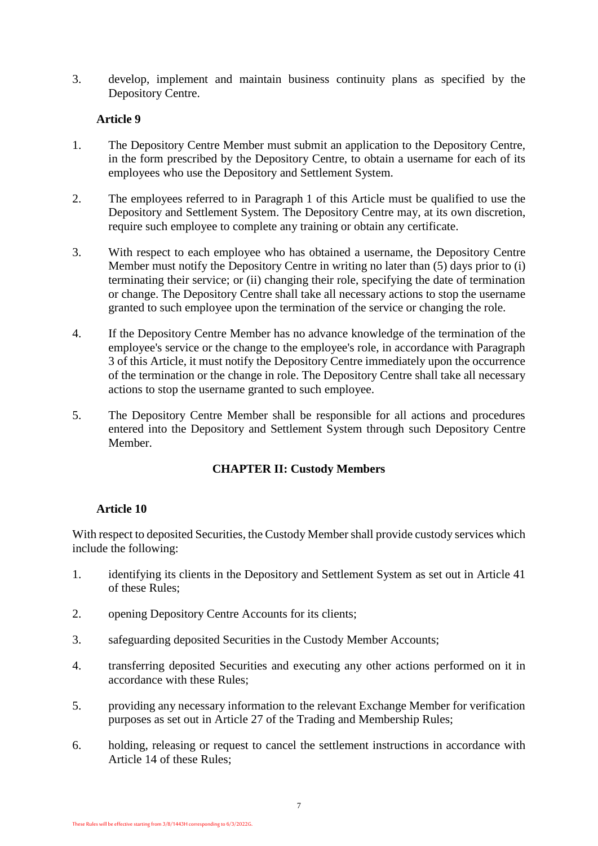3. develop, implement and maintain business continuity plans as specified by the Depository Centre.

# **Article 9**

- <span id="page-6-2"></span><span id="page-6-0"></span>1. The Depository Centre Member must submit an application to the Depository Centre, in the form prescribed by the Depository Centre, to obtain a username for each of its employees who use the Depository and Settlement System.
- 2. The employees referred to in Paragraph [1](#page-6-2) of this Article must be qualified to use the Depository and Settlement System. The Depository Centre may, at its own discretion, require such employee to complete any training or obtain any certificate.
- <span id="page-6-3"></span>3. With respect to each employee who has obtained a username, the Depository Centre Member must notify the Depository Centre in writing no later than (5) days prior to (i) terminating their service; or (ii) changing their role, specifying the date of termination or change. The Depository Centre shall take all necessary actions to stop the username granted to such employee upon the termination of the service or changing the role.
- 4. If the Depository Centre Member has no advance knowledge of the termination of the employee's service or the change to the employee's role, in accordance with Paragraph [3](#page-6-3) of this Article, it must notify the Depository Centre immediately upon the occurrence of the termination or the change in role. The Depository Centre shall take all necessary actions to stop the username granted to such employee.
- 5. The Depository Centre Member shall be responsible for all actions and procedures entered into the Depository and Settlement System through such Depository Centre Member.

# **CHAPTER II: Custody Members**

# **Article 10**

<span id="page-6-1"></span>With respect to deposited Securities, the Custody Member shall provide custody services which include the following:

- 1. identifying its clients in the Depository and Settlement System as set out in Article 41 of these Rules;
- 2. opening Depository Centre Accounts for its clients;
- 3. safeguarding deposited Securities in the Custody Member Accounts;
- 4. transferring deposited Securities and executing any other actions performed on it in accordance with these Rules;
- 5. providing any necessary information to the relevant Exchange Member for verification purposes as set out in Article 27 of the Trading and Membership Rules;
- 6. holding, releasing or request to cancel the settlement instructions in accordance with Article 14 of these Rules;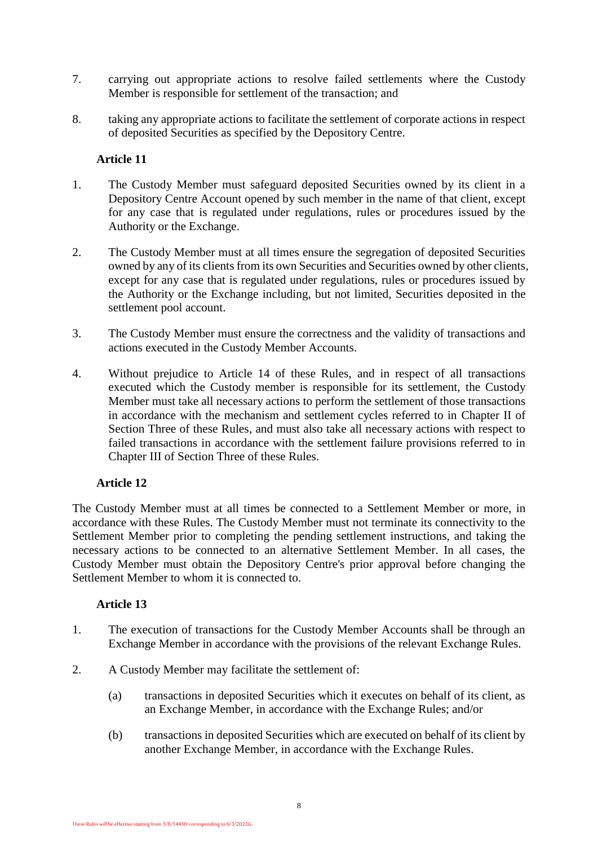- 7. carrying out appropriate actions to resolve failed settlements where the Custody Member is responsible for settlement of the transaction; and
- 8. taking any appropriate actions to facilitate the settlement of corporate actions in respect of deposited Securities as specified by the Depository Centre.

- <span id="page-7-0"></span>1. The Custody Member must safeguard deposited Securities owned by its client in a Depository Centre Account opened by such member in the name of that client, except for any case that is regulated under regulations, rules or procedures issued by the Authority or the Exchange.
- 2. The Custody Member must at all times ensure the segregation of deposited Securities owned by any of its clients from its own Securities and Securities owned by other clients, except for any case that is regulated under regulations, rules or procedures issued by the Authority or the Exchange including, but not limited, Securities deposited in the settlement pool account.
- 3. The Custody Member must ensure the correctness and the validity of transactions and actions executed in the Custody Member Accounts.
- 4. Without prejudice to Article 14 of these Rules, and in respect of all transactions executed which the Custody member is responsible for its settlement, the Custody Member must take all necessary actions to perform the settlement of those transactions in accordance with the mechanism and settlement cycles referred to in Chapter II of Section Three of these Rules, and must also take all necessary actions with respect to failed transactions in accordance with the settlement failure provisions referred to in Chapter III of Section Three of these Rules.

# **Article 12**

<span id="page-7-1"></span>The Custody Member must at all times be connected to a Settlement Member or more, in accordance with these Rules. The Custody Member must not terminate its connectivity to the Settlement Member prior to completing the pending settlement instructions, and taking the necessary actions to be connected to an alternative Settlement Member. In all cases, the Custody Member must obtain the Depository Centre's prior approval before changing the Settlement Member to whom it is connected to.

- <span id="page-7-2"></span>1. The execution of transactions for the Custody Member Accounts shall be through an Exchange Member in accordance with the provisions of the relevant Exchange Rules.
- 2. A Custody Member may facilitate the settlement of:
	- (a) transactions in deposited Securities which it executes on behalf of its client, as an Exchange Member, in accordance with the Exchange Rules; and/or
	- (b) transactions in deposited Securities which are executed on behalf of its client by another Exchange Member, in accordance with the Exchange Rules.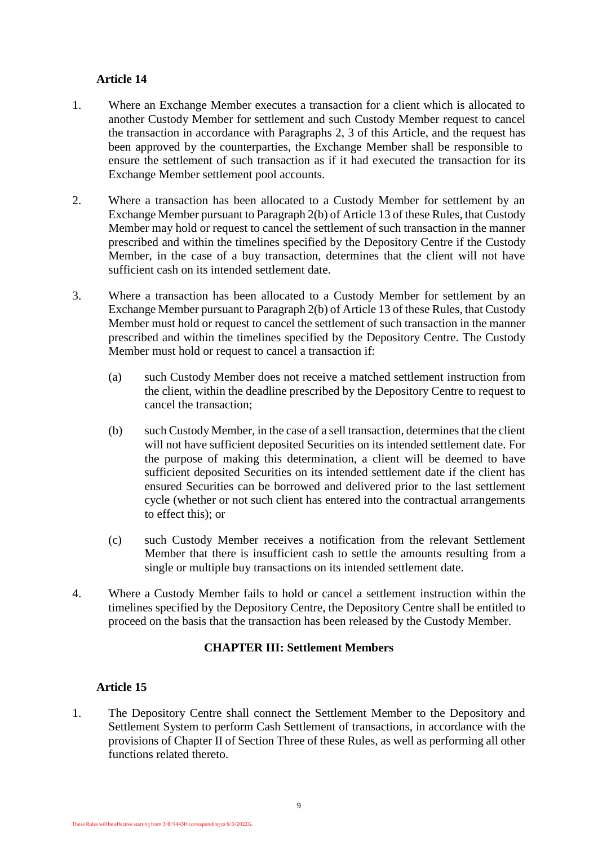- <span id="page-8-0"></span>1. Where an Exchange Member executes a transaction for a client which is allocated to another Custody Member for settlement and such Custody Member request to cancel the transaction in accordance with Paragraphs [2,](#page-8-2) [3](#page-8-3) of this Article, and the request has been approved by the counterparties, the Exchange Member shall be responsible to ensure the settlement of such transaction as if it had executed the transaction for its Exchange Member settlement pool accounts.
- <span id="page-8-2"></span>2. Where a transaction has been allocated to a Custody Member for settlement by an Exchange Member pursuant to Paragraph 2(b) of [Article 13](#page-7-2) of these Rules, that Custody Member may hold or request to cancel the settlement of such transaction in the manner prescribed and within the timelines specified by the Depository Centre if the Custody Member, in the case of a buy transaction, determines that the client will not have sufficient cash on its intended settlement date.
- <span id="page-8-3"></span>3. Where a transaction has been allocated to a Custody Member for settlement by an Exchange Member pursuant to Paragraph 2(b) of [Article 13](#page-7-2) of these Rules, that Custody Member must hold or request to cancel the settlement of such transaction in the manner prescribed and within the timelines specified by the Depository Centre. The Custody Member must hold or request to cancel a transaction if:
	- (a) such Custody Member does not receive a matched settlement instruction from the client, within the deadline prescribed by the Depository Centre to request to cancel the transaction;
	- (b) such Custody Member, in the case of a sell transaction, determines that the client will not have sufficient deposited Securities on its intended settlement date. For the purpose of making this determination, a client will be deemed to have sufficient deposited Securities on its intended settlement date if the client has ensured Securities can be borrowed and delivered prior to the last settlement cycle (whether or not such client has entered into the contractual arrangements to effect this); or
	- (c) such Custody Member receives a notification from the relevant Settlement Member that there is insufficient cash to settle the amounts resulting from a single or multiple buy transactions on its intended settlement date.
- 4. Where a Custody Member fails to hold or cancel a settlement instruction within the timelines specified by the Depository Centre, the Depository Centre shall be entitled to proceed on the basis that the transaction has been released by the Custody Member.

# **CHAPTER III: Settlement Members**

# <span id="page-8-1"></span>**Article 15**

1. The Depository Centre shall connect the Settlement Member to the Depository and Settlement System to perform Cash Settlement of transactions, in accordance with the provisions of Chapter II of Section Three of these Rules, as well as performing all other functions related thereto.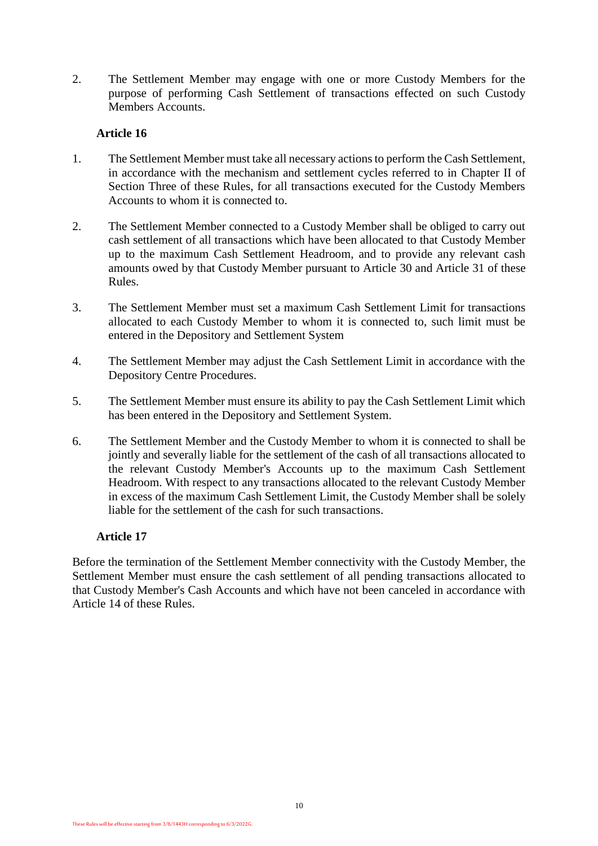2. The Settlement Member may engage with one or more Custody Members for the purpose of performing Cash Settlement of transactions effected on such Custody Members Accounts

## **Article 16**

- <span id="page-9-0"></span>1. The Settlement Member must take all necessary actions to perform the Cash Settlement, in accordance with the mechanism and settlement cycles referred to in Chapter II of Section Three of these Rules, for all transactions executed for the Custody Members Accounts to whom it is connected to.
- 2. The Settlement Member connected to a Custody Member shall be obliged to carry out cash settlement of all transactions which have been allocated to that Custody Member up to the maximum Cash Settlement Headroom, and to provide any relevant cash amounts owed by that Custody Member pursuant to Article 30 and Article 31 of these Rules.
- 3. The Settlement Member must set a maximum Cash Settlement Limit for transactions allocated to each Custody Member to whom it is connected to, such limit must be entered in the Depository and Settlement System
- 4. The Settlement Member may adjust the Cash Settlement Limit in accordance with the Depository Centre Procedures.
- 5. The Settlement Member must ensure its ability to pay the Cash Settlement Limit which has been entered in the Depository and Settlement System.
- 6. The Settlement Member and the Custody Member to whom it is connected to shall be jointly and severally liable for the settlement of the cash of all transactions allocated to the relevant Custody Member's Accounts up to the maximum Cash Settlement Headroom. With respect to any transactions allocated to the relevant Custody Member in excess of the maximum Cash Settlement Limit, the Custody Member shall be solely liable for the settlement of the cash for such transactions.

#### <span id="page-9-1"></span>**Article 17**

Before the termination of the Settlement Member connectivity with the Custody Member, the Settlement Member must ensure the cash settlement of all pending transactions allocated to that Custody Member's Cash Accounts and which have not been canceled in accordance with Article 14 of these Rules.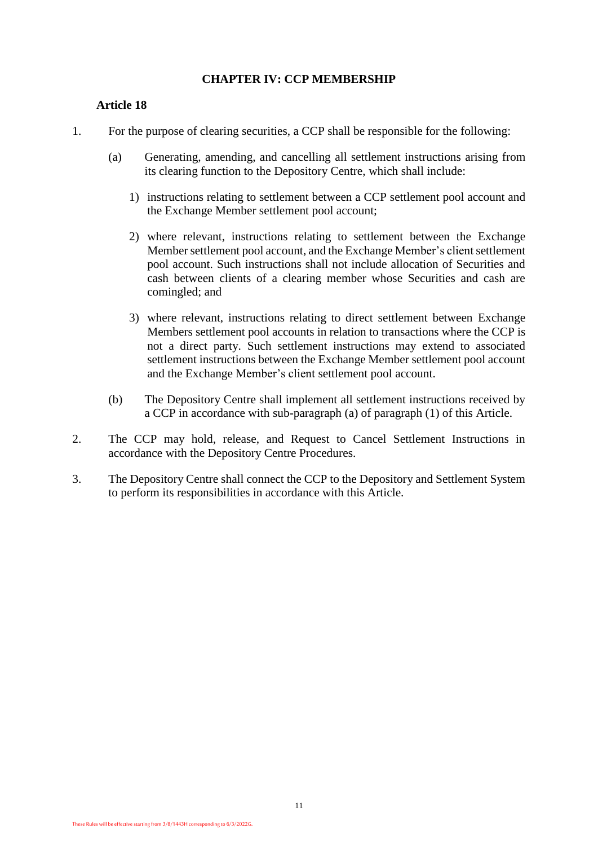# **CHAPTER IV: CCP MEMBERSHIP**

- <span id="page-10-0"></span>1. For the purpose of clearing securities, a CCP shall be responsible for the following:
	- (a) Generating, amending, and cancelling all settlement instructions arising from its clearing function to the Depository Centre, which shall include:
		- 1) instructions relating to settlement between a CCP settlement pool account and the Exchange Member settlement pool account;
		- 2) where relevant, instructions relating to settlement between the Exchange Member settlement pool account, and the Exchange Member's client settlement pool account. Such instructions shall not include allocation of Securities and cash between clients of a clearing member whose Securities and cash are comingled; and
		- 3) where relevant, instructions relating to direct settlement between Exchange Members settlement pool accounts in relation to transactions where the CCP is not a direct party. Such settlement instructions may extend to associated settlement instructions between the Exchange Member settlement pool account and the Exchange Member's client settlement pool account.
	- (b) The Depository Centre shall implement all settlement instructions received by a CCP in accordance with sub-paragraph (a) of paragraph (1) of this Article.
- 2. The CCP may hold, release, and Request to Cancel Settlement Instructions in accordance with the Depository Centre Procedures.
- 3. The Depository Centre shall connect the CCP to the Depository and Settlement System to perform its responsibilities in accordance with this Article.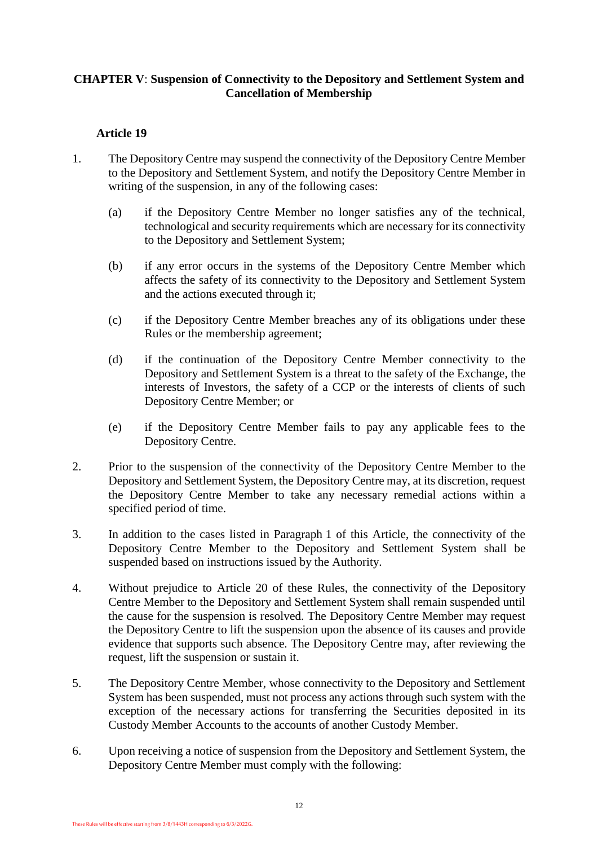# **CHAPTER V**: **Suspension of Connectivity to the Depository and Settlement System and Cancellation of Membership**

- <span id="page-11-1"></span><span id="page-11-0"></span>1. The Depository Centre may suspend the connectivity of the Depository Centre Member to the Depository and Settlement System, and notify the Depository Centre Member in writing of the suspension, in any of the following cases:
	- (a) if the Depository Centre Member no longer satisfies any of the technical, technological and security requirements which are necessary for its connectivity to the Depository and Settlement System;
	- (b) if any error occurs in the systems of the Depository Centre Member which affects the safety of its connectivity to the Depository and Settlement System and the actions executed through it;
	- (c) if the Depository Centre Member breaches any of its obligations under these Rules or the membership agreement;
	- (d) if the continuation of the Depository Centre Member connectivity to the Depository and Settlement System is a threat to the safety of the Exchange, the interests of Investors, the safety of a CCP or the interests of clients of such Depository Centre Member; or
	- (e) if the Depository Centre Member fails to pay any applicable fees to the Depository Centre.
- 2. Prior to the suspension of the connectivity of the Depository Centre Member to the Depository and Settlement System, the Depository Centre may, at its discretion, request the Depository Centre Member to take any necessary remedial actions within a specified period of time.
- 3. In addition to the cases listed in Paragraph [1](#page-11-1) of this Article, the connectivity of the Depository Centre Member to the Depository and Settlement System shall be suspended based on instructions issued by the Authority.
- 4. Without prejudice to Article 20 of these Rules, the connectivity of the Depository Centre Member to the Depository and Settlement System shall remain suspended until the cause for the suspension is resolved. The Depository Centre Member may request the Depository Centre to lift the suspension upon the absence of its causes and provide evidence that supports such absence. The Depository Centre may, after reviewing the request, lift the suspension or sustain it.
- <span id="page-11-2"></span>5. The Depository Centre Member, whose connectivity to the Depository and Settlement System has been suspended, must not process any actions through such system with the exception of the necessary actions for transferring the Securities deposited in its Custody Member Accounts to the accounts of another Custody Member.
- 6. Upon receiving a notice of suspension from the Depository and Settlement System, the Depository Centre Member must comply with the following: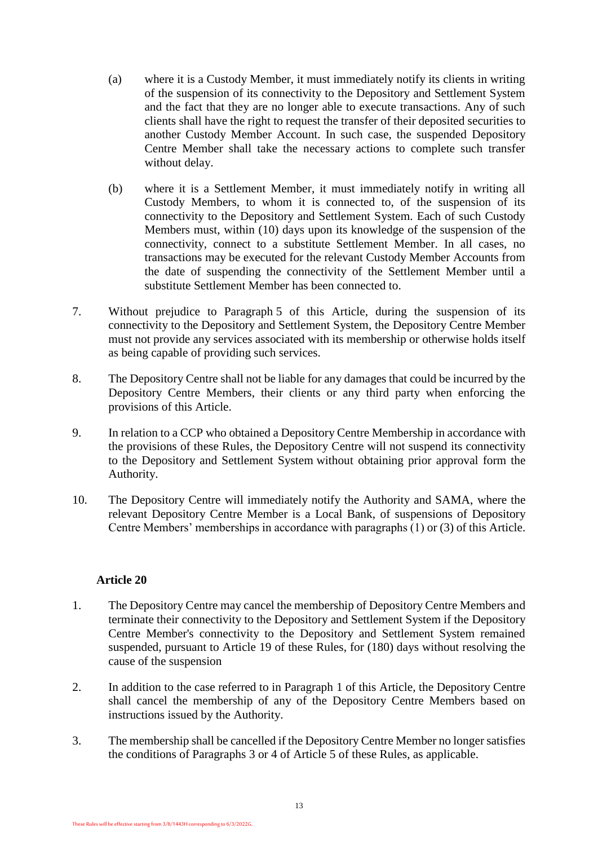- (a) where it is a Custody Member, it must immediately notify its clients in writing of the suspension of its connectivity to the Depository and Settlement System and the fact that they are no longer able to execute transactions. Any of such clients shall have the right to request the transfer of their deposited securities to another Custody Member Account. In such case, the suspended Depository Centre Member shall take the necessary actions to complete such transfer without delay.
- (b) where it is a Settlement Member, it must immediately notify in writing all Custody Members, to whom it is connected to, of the suspension of its connectivity to the Depository and Settlement System. Each of such Custody Members must, within (10) days upon its knowledge of the suspension of the connectivity, connect to a substitute Settlement Member. In all cases, no transactions may be executed for the relevant Custody Member Accounts from the date of suspending the connectivity of the Settlement Member until a substitute Settlement Member has been connected to.
- 7. Without prejudice to Paragraph [5](#page-11-2) of this Article, during the suspension of its connectivity to the Depository and Settlement System, the Depository Centre Member must not provide any services associated with its membership or otherwise holds itself as being capable of providing such services.
- 8. The Depository Centre shall not be liable for any damages that could be incurred by the Depository Centre Members, their clients or any third party when enforcing the provisions of this Article.
- 9. In relation to a CCP who obtained a Depository Centre Membership in accordance with the provisions of these Rules, the Depository Centre will not suspend its connectivity to the Depository and Settlement System without obtaining prior approval form the Authority.
- 10. The Depository Centre will immediately notify the Authority and SAMA, where the relevant Depository Centre Member is a Local Bank, of suspensions of Depository Centre Members' memberships in accordance with paragraphs (1) or (3) of this Article.

- <span id="page-12-1"></span><span id="page-12-0"></span>1. The Depository Centre may cancel the membership of Depository Centre Members and terminate their connectivity to the Depository and Settlement System if the Depository Centre Member's connectivity to the Depository and Settlement System remained suspended, pursuant to Article 19 of these Rules, for (180) days without resolving the cause of the suspension
- 2. In addition to the case referred to in Paragraph [1](#page-12-1) of this Article, the Depository Centre shall cancel the membership of any of the Depository Centre Members based on instructions issued by the Authority.
- 3. The membership shall be cancelled if the Depository Centre Member no longer satisfies the conditions of Paragraphs 3 or 4 of Article 5 of these Rules, as applicable.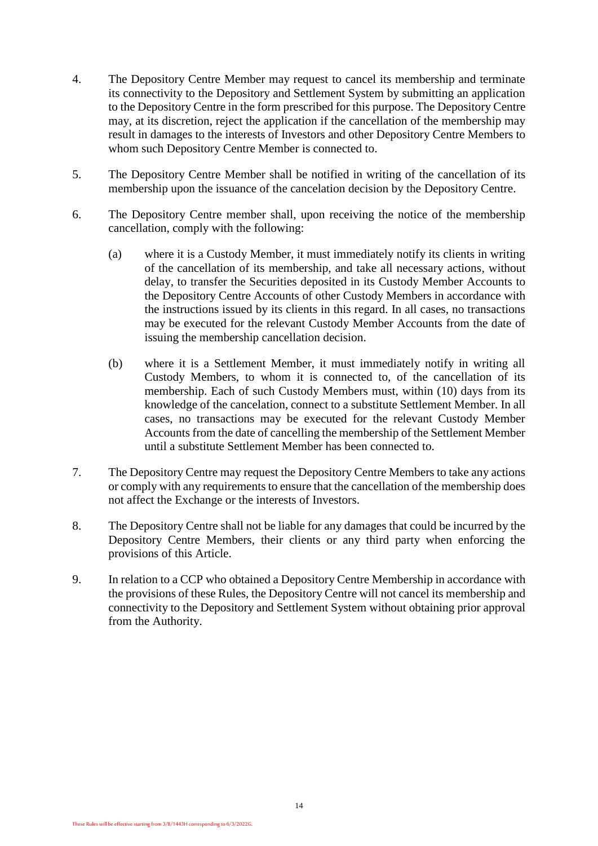- 4. The Depository Centre Member may request to cancel its membership and terminate its connectivity to the Depository and Settlement System by submitting an application to the Depository Centre in the form prescribed for this purpose. The Depository Centre may, at its discretion, reject the application if the cancellation of the membership may result in damages to the interests of Investors and other Depository Centre Members to whom such Depository Centre Member is connected to.
- 5. The Depository Centre Member shall be notified in writing of the cancellation of its membership upon the issuance of the cancelation decision by the Depository Centre.
- 6. The Depository Centre member shall, upon receiving the notice of the membership cancellation, comply with the following:
	- (a) where it is a Custody Member, it must immediately notify its clients in writing of the cancellation of its membership, and take all necessary actions, without delay, to transfer the Securities deposited in its Custody Member Accounts to the Depository Centre Accounts of other Custody Members in accordance with the instructions issued by its clients in this regard. In all cases, no transactions may be executed for the relevant Custody Member Accounts from the date of issuing the membership cancellation decision.
	- (b) where it is a Settlement Member, it must immediately notify in writing all Custody Members, to whom it is connected to, of the cancellation of its membership. Each of such Custody Members must, within (10) days from its knowledge of the cancelation, connect to a substitute Settlement Member. In all cases, no transactions may be executed for the relevant Custody Member Accounts from the date of cancelling the membership of the Settlement Member until a substitute Settlement Member has been connected to.
- 7. The Depository Centre may request the Depository Centre Members to take any actions or comply with any requirements to ensure that the cancellation of the membership does not affect the Exchange or the interests of Investors.
- 8. The Depository Centre shall not be liable for any damages that could be incurred by the Depository Centre Members, their clients or any third party when enforcing the provisions of this Article.
- 9. In relation to a CCP who obtained a Depository Centre Membership in accordance with the provisions of these Rules, the Depository Centre will not cancel its membership and connectivity to the Depository and Settlement System without obtaining prior approval from the Authority.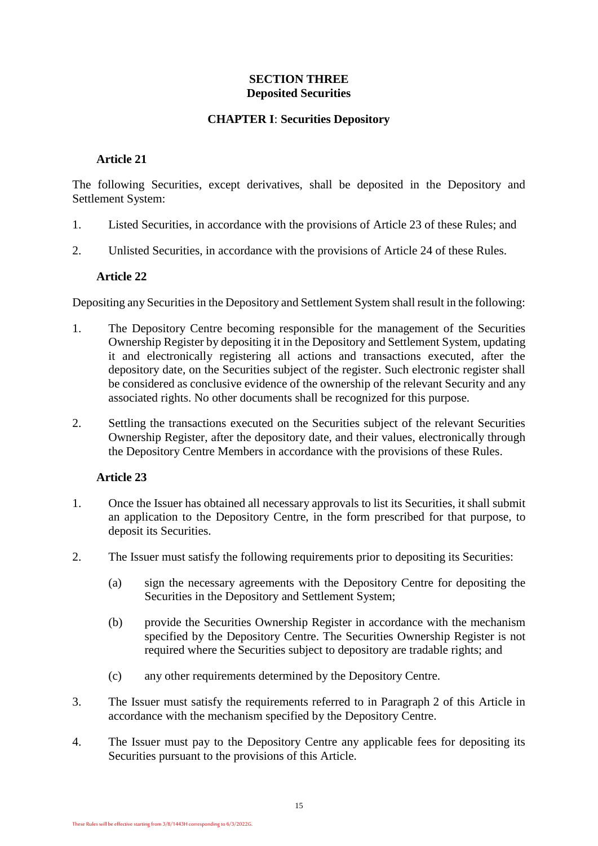# **SECTION THREE Deposited Securities**

# **CHAPTER I**: **Securities Depository**

## <span id="page-14-0"></span>**Article 21**

<span id="page-14-1"></span>The following Securities, except derivatives, shall be deposited in the Depository and Settlement System:

- 1. Listed Securities, in accordance with the provisions of Article 23 of these Rules; and
- <span id="page-14-2"></span>2. Unlisted Securities, in accordance with the provisions of Article 24 of these Rules.

#### **Article 22**

Depositing any Securities in the Depository and Settlement System shall result in the following:

- 1. The Depository Centre becoming responsible for the management of the Securities Ownership Register by depositing it in the Depository and Settlement System, updating it and electronically registering all actions and transactions executed, after the depository date, on the Securities subject of the register. Such electronic register shall be considered as conclusive evidence of the ownership of the relevant Security and any associated rights. No other documents shall be recognized for this purpose.
- 2. Settling the transactions executed on the Securities subject of the relevant Securities Ownership Register, after the depository date, and their values, electronically through the Depository Centre Members in accordance with the provisions of these Rules.

- <span id="page-14-3"></span>1. Once the Issuer has obtained all necessary approvals to list its Securities, it shall submit an application to the Depository Centre, in the form prescribed for that purpose, to deposit its Securities.
- <span id="page-14-4"></span>2. The Issuer must satisfy the following requirements prior to depositing its Securities:
	- (a) sign the necessary agreements with the Depository Centre for depositing the Securities in the Depository and Settlement System;
	- (b) provide the Securities Ownership Register in accordance with the mechanism specified by the Depository Centre. The Securities Ownership Register is not required where the Securities subject to depository are tradable rights; and
	- (c) any other requirements determined by the Depository Centre.
- 3. The Issuer must satisfy the requirements referred to in Paragraph [2](#page-14-4) of this Article in accordance with the mechanism specified by the Depository Centre.
- 4. The Issuer must pay to the Depository Centre any applicable fees for depositing its Securities pursuant to the provisions of this Article.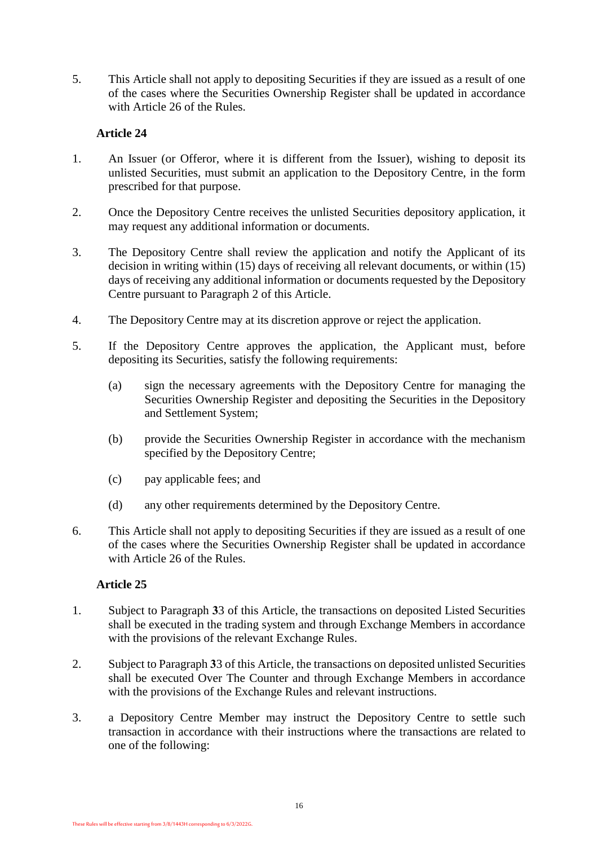5. This Article shall not apply to depositing Securities if they are issued as a result of one of the cases where the Securities Ownership Register shall be updated in accordance with Article 26 of the Rules.

# **Article 24**

- <span id="page-15-0"></span>1. An Issuer (or Offeror, where it is different from the Issuer), wishing to deposit its unlisted Securities, must submit an application to the Depository Centre, in the form prescribed for that purpose.
- <span id="page-15-2"></span>2. Once the Depository Centre receives the unlisted Securities depository application, it may request any additional information or documents.
- 3. The Depository Centre shall review the application and notify the Applicant of its decision in writing within (15) days of receiving all relevant documents, or within (15) days of receiving any additional information or documents requested by the Depository Centre pursuant to Paragraph [2](#page-15-2) of this Article.
- 4. The Depository Centre may at its discretion approve or reject the application.
- 5. If the Depository Centre approves the application, the Applicant must, before depositing its Securities, satisfy the following requirements:
	- (a) sign the necessary agreements with the Depository Centre for managing the Securities Ownership Register and depositing the Securities in the Depository and Settlement System;
	- (b) provide the Securities Ownership Register in accordance with the mechanism specified by the Depository Centre;
	- (c) pay applicable fees; and
	- (d) any other requirements determined by the Depository Centre.
- 6. This Article shall not apply to depositing Securities if they are issued as a result of one of the cases where the Securities Ownership Register shall be updated in accordance with Article 26 of the Rules.

- <span id="page-15-1"></span>1. Subject to Paragraph **3**[3](#page-15-3) of this Article, the transactions on deposited Listed Securities shall be executed in the trading system and through Exchange Members in accordance with the provisions of the relevant Exchange Rules.
- 2. Subject to Paragraph **3**[3](#page-15-3) of this Article, the transactions on deposited unlisted Securities shall be executed Over The Counter and through Exchange Members in accordance with the provisions of the Exchange Rules and relevant instructions.
- <span id="page-15-3"></span>3. a Depository Centre Member may instruct the Depository Centre to settle such transaction in accordance with their instructions where the transactions are related to one of the following: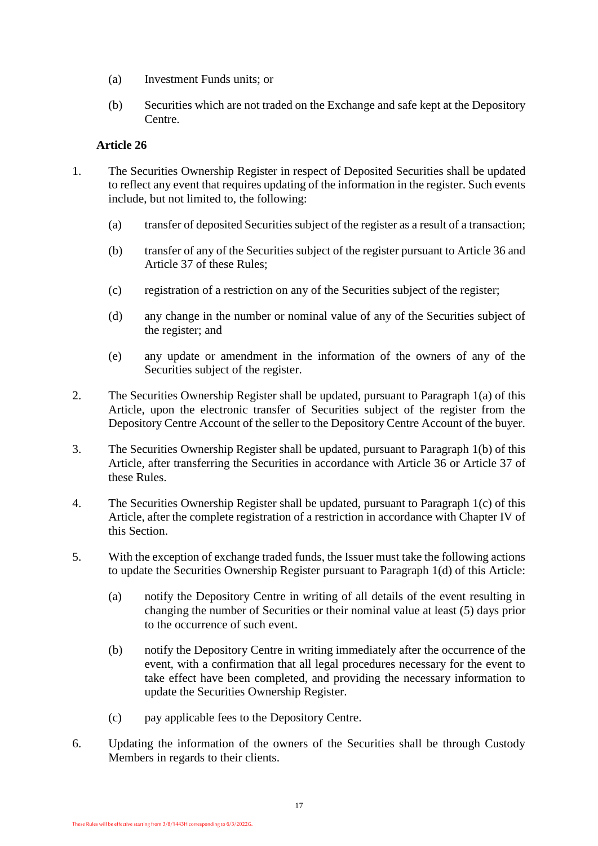- (a) Investment Funds units; or
- (b) Securities which are not traded on the Exchange and safe kept at the Depository Centre.

- <span id="page-16-2"></span><span id="page-16-1"></span><span id="page-16-0"></span>1. The Securities Ownership Register in respect of Deposited Securities shall be updated to reflect any event that requires updating of the information in the register. Such events include, but not limited to, the following:
	- (a) transfer of deposited Securities subject of the register as a result of a transaction;
	- (b) transfer of any of the Securities subject of the register pursuant to Article 36 and Article 37 of these Rules;
	- (c) registration of a restriction on any of the Securities subject of the register;
	- (d) any change in the number or nominal value of any of the Securities subject of the register; and
	- (e) any update or amendment in the information of the owners of any of the Securities subject of the register.
- <span id="page-16-4"></span><span id="page-16-3"></span>2. The Securities Ownership Register shall be updated, pursuant to Paragraph [1\(a\)](#page-16-1) of this Article, upon the electronic transfer of Securities subject of the register from the Depository Centre Account of the seller to the Depository Centre Account of the buyer.
- 3. The Securities Ownership Register shall be updated, pursuant to Paragraph [1\(b\)](#page-16-2) of this Article, after transferring the Securities in accordance with Article 36 or Article 37 of these Rules.
- 4. The Securities Ownership Register shall be updated, pursuant to Paragraph [1\(c\)](#page-16-3) of this Article, after the complete registration of a restriction in accordance with Chapter IV of this Section.
- 5. With the exception of exchange traded funds, the Issuer must take the following actions to update the Securities Ownership Register pursuant to Paragraph [1\(d\)](#page-16-4) of this Article:
	- (a) notify the Depository Centre in writing of all details of the event resulting in changing the number of Securities or their nominal value at least (5) days prior to the occurrence of such event.
	- (b) notify the Depository Centre in writing immediately after the occurrence of the event, with a confirmation that all legal procedures necessary for the event to take effect have been completed, and providing the necessary information to update the Securities Ownership Register.
	- (c) pay applicable fees to the Depository Centre.
- 6. Updating the information of the owners of the Securities shall be through Custody Members in regards to their clients.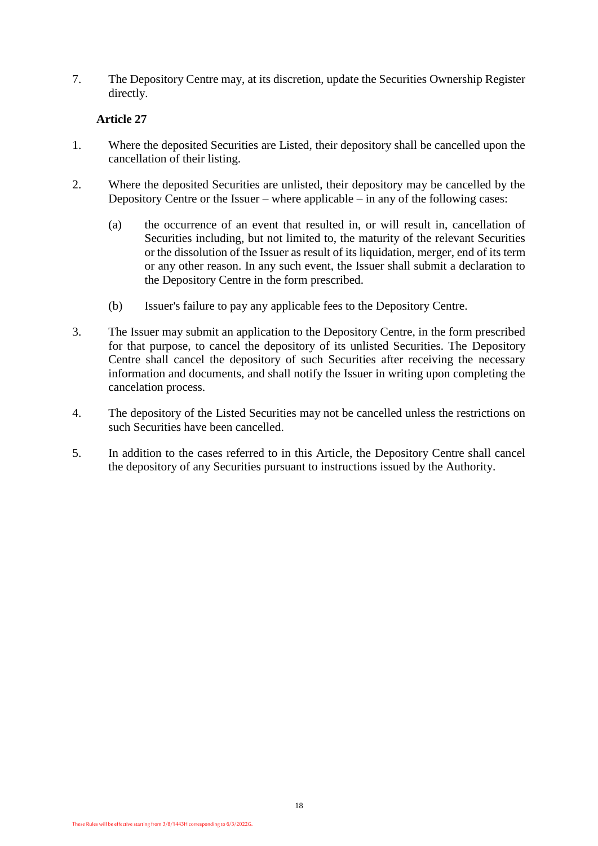7. The Depository Centre may, at its discretion, update the Securities Ownership Register directly.

- <span id="page-17-0"></span>1. Where the deposited Securities are Listed, their depository shall be cancelled upon the cancellation of their listing.
- 2. Where the deposited Securities are unlisted, their depository may be cancelled by the Depository Centre or the Issuer – where applicable – in any of the following cases:
	- (a) the occurrence of an event that resulted in, or will result in, cancellation of Securities including, but not limited to, the maturity of the relevant Securities or the dissolution of the Issuer as result of its liquidation, merger, end of its term or any other reason. In any such event, the Issuer shall submit a declaration to the Depository Centre in the form prescribed.
	- (b) Issuer's failure to pay any applicable fees to the Depository Centre.
- 3. The Issuer may submit an application to the Depository Centre, in the form prescribed for that purpose, to cancel the depository of its unlisted Securities. The Depository Centre shall cancel the depository of such Securities after receiving the necessary information and documents, and shall notify the Issuer in writing upon completing the cancelation process.
- 4. The depository of the Listed Securities may not be cancelled unless the restrictions on such Securities have been cancelled.
- 5. In addition to the cases referred to in this Article, the Depository Centre shall cancel the depository of any Securities pursuant to instructions issued by the Authority.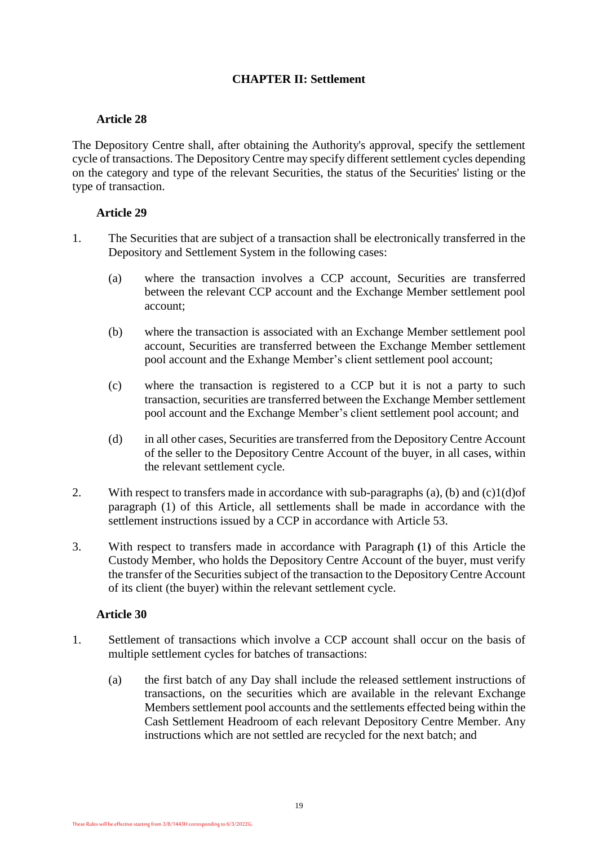# **CHAPTER II: Settlement**

# **Article 28**

<span id="page-18-0"></span>The Depository Centre shall, after obtaining the Authority's approval, specify the settlement cycle of transactions. The Depository Centre may specify different settlement cycles depending on the category and type of the relevant Securities, the status of the Securities' listing or the type of transaction.

# **Article 29**

- <span id="page-18-1"></span>1. The Securities that are subject of a transaction shall be electronically transferred in the Depository and Settlement System in the following cases:
	- (a) where the transaction involves a CCP account, Securities are transferred between the relevant CCP account and the Exchange Member settlement pool account;
	- (b) where the transaction is associated with an Exchange Member settlement pool account, Securities are transferred between the Exchange Member settlement pool account and the Exhange Member's client settlement pool account;
	- (c) where the transaction is registered to a CCP but it is not a party to such transaction, securities are transferred between the Exchange Member settlement pool account and the Exchange Member's client settlement pool account; and
	- (d) in all other cases, Securities are transferred from the Depository Centre Account of the seller to the Depository Centre Account of the buyer, in all cases, within the relevant settlement cycle.
- <span id="page-18-3"></span>2. With respect to transfers made in accordance with sub-paragraphs (a), (b) and  $(c)1(d)$  of paragraph (1) of this Article, all settlements shall be made in accordance with the settlement instructions issued by a CCP in accordance with [Article 53.](#page-31-2)
- 3. With respect to transfers made in accordance with Paragraph **)**1**(** of this Article the Custody Member, who holds the Depository Centre Account of the buyer, must verify the transfer of the Securities subject of the transaction to the Depository Centre Account of its client (the buyer) within the relevant settlement cycle.

- <span id="page-18-2"></span>1. Settlement of transactions which involve a CCP account shall occur on the basis of multiple settlement cycles for batches of transactions:
	- (a) the first batch of any Day shall include the released settlement instructions of transactions, on the securities which are available in the relevant Exchange Members settlement pool accounts and the settlements effected being within the Cash Settlement Headroom of each relevant Depository Centre Member. Any instructions which are not settled are recycled for the next batch; and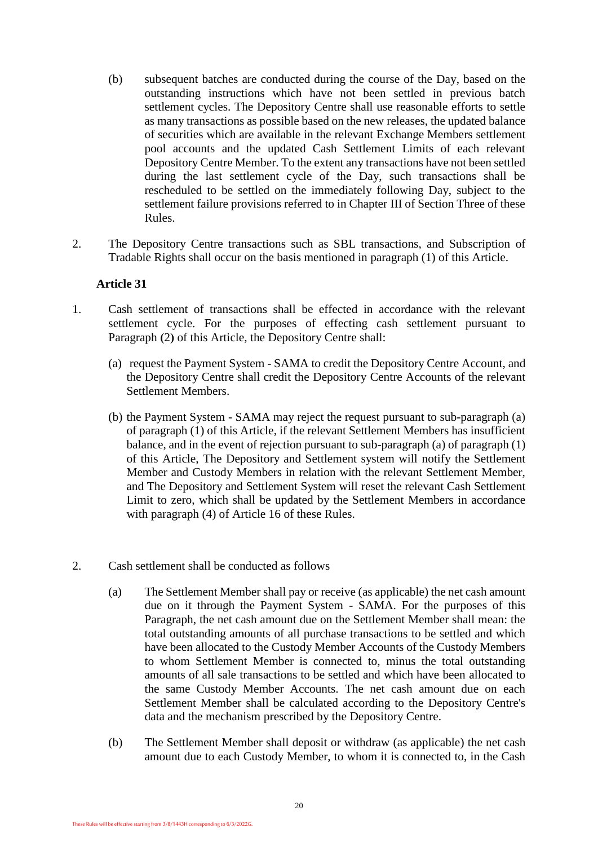- (b) subsequent batches are conducted during the course of the Day, based on the outstanding instructions which have not been settled in previous batch settlement cycles. The Depository Centre shall use reasonable efforts to settle as many transactions as possible based on the new releases, the updated balance of securities which are available in the relevant Exchange Members settlement pool accounts and the updated Cash Settlement Limits of each relevant Depository Centre Member. To the extent any transactions have not been settled during the last settlement cycle of the Day, such transactions shall be rescheduled to be settled on the immediately following Day, subject to the settlement failure provisions referred to in Chapter III of Section Three of these Rules.
- 2. The Depository Centre transactions such as SBL transactions, and Subscription of Tradable Rights shall occur on the basis mentioned in paragraph (1) of this Article.

- <span id="page-19-0"></span>1. Cash settlement of transactions shall be effected in accordance with the relevant settlement cycle. For the purposes of effecting cash settlement pursuant to Paragraph **(2)** of this Article, the Depository Centre shall:
	- (a) request the Payment System SAMA to credit the Depository Centre Account, and the Depository Centre shall credit the Depository Centre Accounts of the relevant Settlement Members.
	- (b) the Payment System SAMA may reject the request pursuant to sub-paragraph (a) of paragraph (1) of this Article, if the relevant Settlement Members has insufficient balance, and in the event of rejection pursuant to sub-paragraph (a) of paragraph (1) of this Article, The Depository and Settlement system will notify the Settlement Member and Custody Members in relation with the relevant Settlement Member, and The Depository and Settlement System will reset the relevant Cash Settlement Limit to zero, which shall be updated by the Settlement Members in accordance with paragraph (4) of Article 16 of these Rules.
- <span id="page-19-2"></span><span id="page-19-1"></span>2. Cash settlement shall be conducted as follows
	- (a) The Settlement Member shall pay or receive (as applicable) the net cash amount due on it through the Payment System - SAMA. For the purposes of this Paragraph, the net cash amount due on the Settlement Member shall mean: the total outstanding amounts of all purchase transactions to be settled and which have been allocated to the Custody Member Accounts of the Custody Members to whom Settlement Member is connected to, minus the total outstanding amounts of all sale transactions to be settled and which have been allocated to the same Custody Member Accounts. The net cash amount due on each Settlement Member shall be calculated according to the Depository Centre's data and the mechanism prescribed by the Depository Centre.
	- (b) The Settlement Member shall deposit or withdraw (as applicable) the net cash amount due to each Custody Member, to whom it is connected to, in the Cash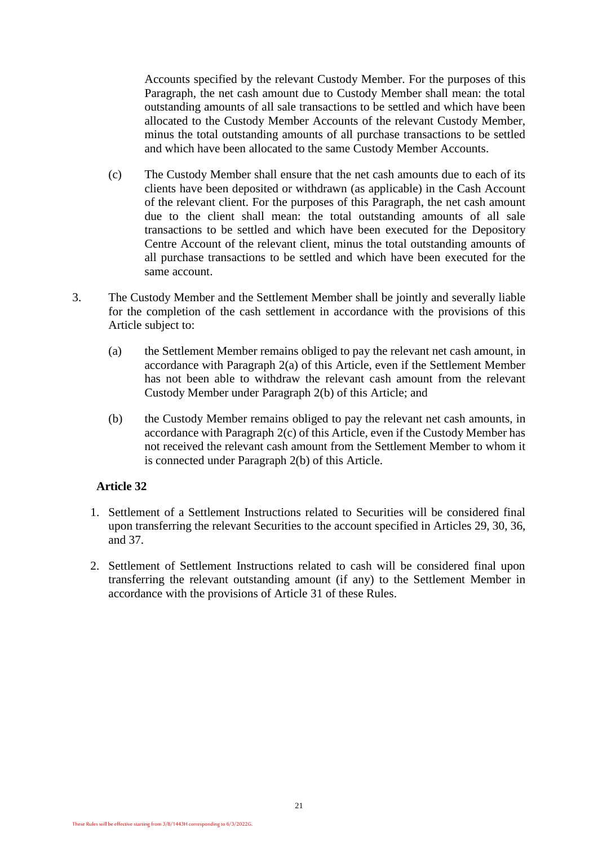Accounts specified by the relevant Custody Member. For the purposes of this Paragraph, the net cash amount due to Custody Member shall mean: the total outstanding amounts of all sale transactions to be settled and which have been allocated to the Custody Member Accounts of the relevant Custody Member, minus the total outstanding amounts of all purchase transactions to be settled and which have been allocated to the same Custody Member Accounts.

- <span id="page-20-1"></span>(c) The Custody Member shall ensure that the net cash amounts due to each of its clients have been deposited or withdrawn (as applicable) in the Cash Account of the relevant client. For the purposes of this Paragraph, the net cash amount due to the client shall mean: the total outstanding amounts of all sale transactions to be settled and which have been executed for the Depository Centre Account of the relevant client, minus the total outstanding amounts of all purchase transactions to be settled and which have been executed for the same account.
- 3. The Custody Member and the Settlement Member shall be jointly and severally liable for the completion of the cash settlement in accordance with the provisions of this Article subject to:
	- (a) the Settlement Member remains obliged to pay the relevant net cash amount, in accordance with Paragraph [2\(a\)](#page-19-1) of this Article, even if the Settlement Member has not been able to withdraw the relevant cash amount from the relevant Custody Member under Paragraph [2\(b\)](#page-19-2) of this Article; and
	- (b) the Custody Member remains obliged to pay the relevant net cash amounts, in accordance with Paragraph [2\(c\)](#page-20-1) of this Article, even if the Custody Member has not received the relevant cash amount from the Settlement Member to whom it is connected under Paragraph [2\(b\)](#page-19-2) of this Article.

- <span id="page-20-0"></span>1. Settlement of a Settlement Instructions related to Securities will be considered final upon transferring the relevant Securities to the account specified in Articles 29, 30, 36, and 37.
- 2. Settlement of Settlement Instructions related to cash will be considered final upon transferring the relevant outstanding amount (if any) to the Settlement Member in accordance with the provisions of Article 31 of these Rules.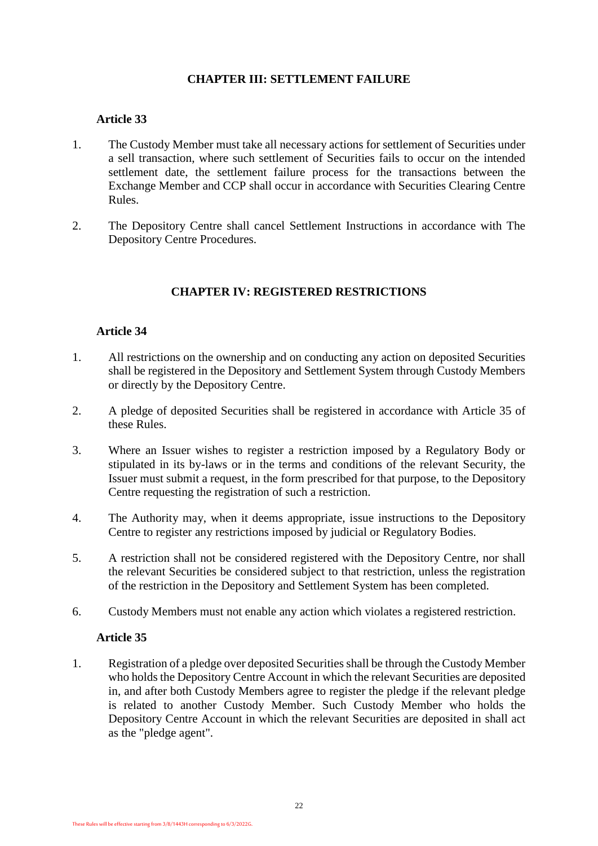# **CHAPTER III: SETTLEMENT FAILURE**

# **Article 33**

- 1. The Custody Member must take all necessary actions for settlement of Securities under a sell transaction, where such settlement of Securities fails to occur on the intended settlement date, the settlement failure process for the transactions between the Exchange Member and CCP shall occur in accordance with Securities Clearing Centre Rules.
- 2. The Depository Centre shall cancel Settlement Instructions in accordance with The Depository Centre Procedures.

# **CHAPTER IV: REGISTERED RESTRICTIONS**

# **Article 34**

- <span id="page-21-0"></span>1. All restrictions on the ownership and on conducting any action on deposited Securities shall be registered in the Depository and Settlement System through Custody Members or directly by the Depository Centre.
- 2. A pledge of deposited Securities shall be registered in accordance with Article 35 of these Rules.
- 3. Where an Issuer wishes to register a restriction imposed by a Regulatory Body or stipulated in its by-laws or in the terms and conditions of the relevant Security, the Issuer must submit a request, in the form prescribed for that purpose, to the Depository Centre requesting the registration of such a restriction.
- 4. The Authority may, when it deems appropriate, issue instructions to the Depository Centre to register any restrictions imposed by judicial or Regulatory Bodies.
- 5. A restriction shall not be considered registered with the Depository Centre, nor shall the relevant Securities be considered subject to that restriction, unless the registration of the restriction in the Depository and Settlement System has been completed.
- <span id="page-21-1"></span>6. Custody Members must not enable any action which violates a registered restriction.

#### **Article 35**

1. Registration of a pledge over deposited Securities shall be through the Custody Member who holds the Depository Centre Account in which the relevant Securities are deposited in, and after both Custody Members agree to register the pledge if the relevant pledge is related to another Custody Member. Such Custody Member who holds the Depository Centre Account in which the relevant Securities are deposited in shall act as the "pledge agent".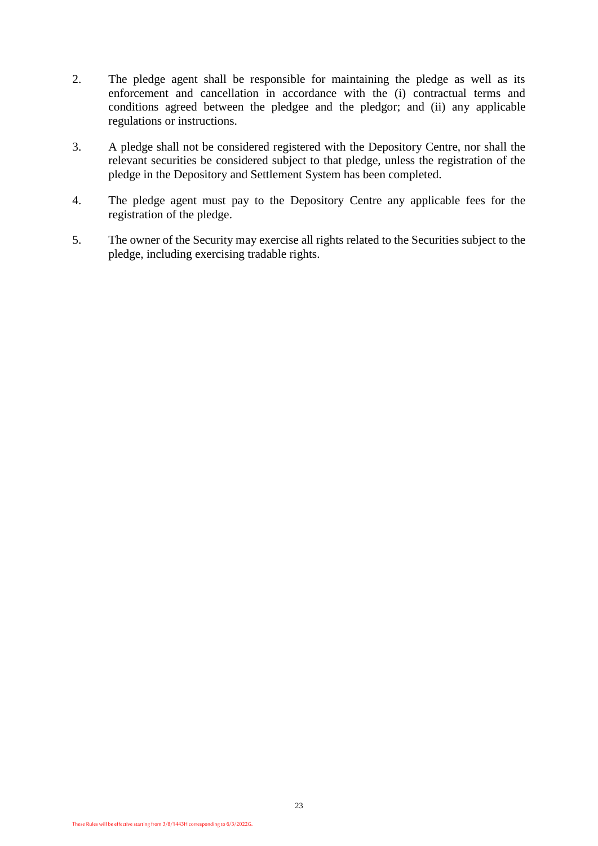- 2. The pledge agent shall be responsible for maintaining the pledge as well as its enforcement and cancellation in accordance with the (i) contractual terms and conditions agreed between the pledgee and the pledgor; and (ii) any applicable regulations or instructions.
- 3. A pledge shall not be considered registered with the Depository Centre, nor shall the relevant securities be considered subject to that pledge, unless the registration of the pledge in the Depository and Settlement System has been completed.
- 4. The pledge agent must pay to the Depository Centre any applicable fees for the registration of the pledge.
- 5. The owner of the Security may exercise all rights related to the Securities subject to the pledge, including exercising tradable rights.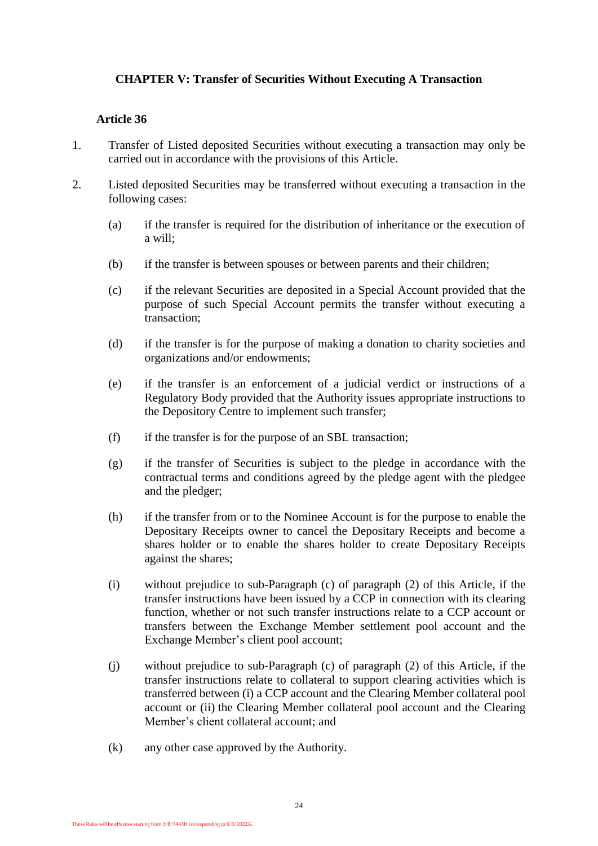# **CHAPTER V: Transfer of Securities Without Executing A Transaction**

- <span id="page-23-0"></span>1. Transfer of Listed deposited Securities without executing a transaction may only be carried out in accordance with the provisions of this Article.
- 2. Listed deposited Securities may be transferred without executing a transaction in the following cases:
	- (a) if the transfer is required for the distribution of inheritance or the execution of a will;
	- (b) if the transfer is between spouses or between parents and their children;
	- (c) if the relevant Securities are deposited in a Special Account provided that the purpose of such Special Account permits the transfer without executing a transaction;
	- (d) if the transfer is for the purpose of making a donation to charity societies and organizations and/or endowments;
	- (e) if the transfer is an enforcement of a judicial verdict or instructions of a Regulatory Body provided that the Authority issues appropriate instructions to the Depository Centre to implement such transfer;
	- (f) if the transfer is for the purpose of an SBL transaction;
	- (g) if the transfer of Securities is subject to the pledge in accordance with the contractual terms and conditions agreed by the pledge agent with the pledgee and the pledger;
	- (h) if the transfer from or to the Nominee Account is for the purpose to enable the Depositary Receipts owner to cancel the Depositary Receipts and become a shares holder or to enable the shares holder to create Depositary Receipts against the shares;
	- (i) without prejudice to sub-Paragraph (c) of paragraph (2) of this Article, if the transfer instructions have been issued by a CCP in connection with its clearing function, whether or not such transfer instructions relate to a CCP account or transfers between the Exchange Member settlement pool account and the Exchange Member's client pool account;
	- (j) without prejudice to sub-Paragraph (c) of paragraph (2) of this Article, if the transfer instructions relate to collateral to support clearing activities which is transferred between (i) a CCP account and the Clearing Member collateral pool account or (ii) the Clearing Member collateral pool account and the Clearing Member's client collateral account; and
	- (k) any other case approved by the Authority.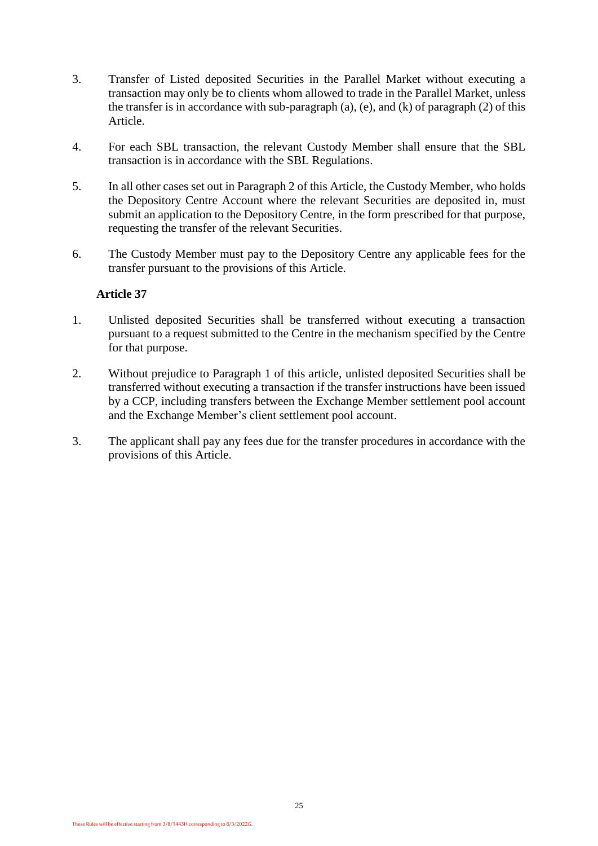- 3. Transfer of Listed deposited Securities in the Parallel Market without executing a transaction may only be to clients whom allowed to trade in the Parallel Market, unless the transfer is in accordance with sub-paragraph (a), (e), and (k) of paragraph (2) of this Article.
- 4. For each SBL transaction, the relevant Custody Member shall ensure that the SBL transaction is in accordance with the SBL Regulations.
- 5. In all other cases set out in Paragraph 2 of this Article, the Custody Member, who holds the Depository Centre Account where the relevant Securities are deposited in, must submit an application to the Depository Centre, in the form prescribed for that purpose, requesting the transfer of the relevant Securities.
- 6. The Custody Member must pay to the Depository Centre any applicable fees for the transfer pursuant to the provisions of this Article.

- <span id="page-24-0"></span>1. Unlisted deposited Securities shall be transferred without executing a transaction pursuant to a request submitted to the Centre in the mechanism specified by the Centre for that purpose.
- 2. Without prejudice to Paragraph 1 of this article, unlisted deposited Securities shall be transferred without executing a transaction if the transfer instructions have been issued by a CCP, including transfers between the Exchange Member settlement pool account and the Exchange Member's client settlement pool account.
- 3. The applicant shall pay any fees due for the transfer procedures in accordance with the provisions of this Article.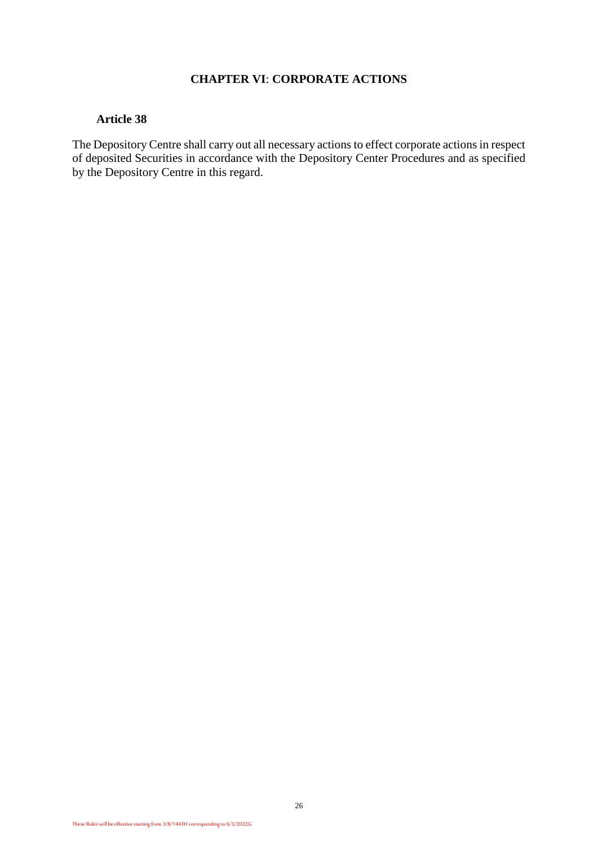# **CHAPTER VI**: **CORPORATE ACTIONS**

#### **Article 38**

The Depository Centre shall carry out all necessary actions to effect corporate actions in respect of deposited Securities in accordance with the Depository Center Procedures and as specified by the Depository Centre in this regard.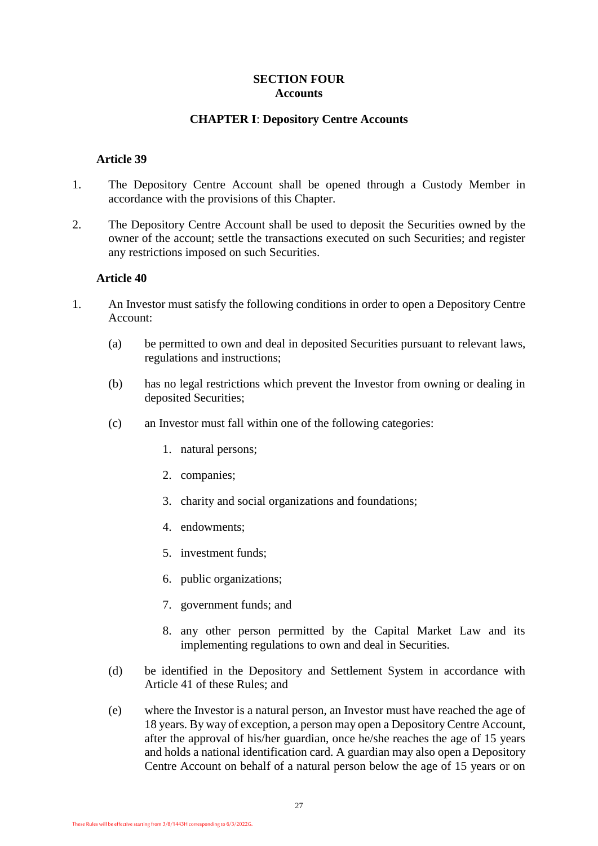# **SECTION FOUR Accounts**

#### **CHAPTER I**: **Depository Centre Accounts**

#### <span id="page-26-1"></span><span id="page-26-0"></span>**Article 39**

- 1. The Depository Centre Account shall be opened through a Custody Member in accordance with the provisions of this Chapter.
- 2. The Depository Centre Account shall be used to deposit the Securities owned by the owner of the account; settle the transactions executed on such Securities; and register any restrictions imposed on such Securities.

- <span id="page-26-2"></span>1. An Investor must satisfy the following conditions in order to open a Depository Centre Account:
	- (a) be permitted to own and deal in deposited Securities pursuant to relevant laws, regulations and instructions;
	- (b) has no legal restrictions which prevent the Investor from owning or dealing in deposited Securities;
	- (c) an Investor must fall within one of the following categories:
		- 1. natural persons;
		- 2. companies;
		- 3. charity and social organizations and foundations;
		- 4. endowments;
		- 5. investment funds;
		- 6. public organizations;
		- 7. government funds; and
		- 8. any other person permitted by the Capital Market Law and its implementing regulations to own and deal in Securities.
	- (d) be identified in the Depository and Settlement System in accordance with [Article 41](#page-27-0) of these Rules; and
	- (e) where the Investor is a natural person, an Investor must have reached the age of 18 years. By way of exception, a person may open a Depository Centre Account, after the approval of his/her guardian, once he/she reaches the age of 15 years and holds a national identification card. A guardian may also open a Depository Centre Account on behalf of a natural person below the age of 15 years or on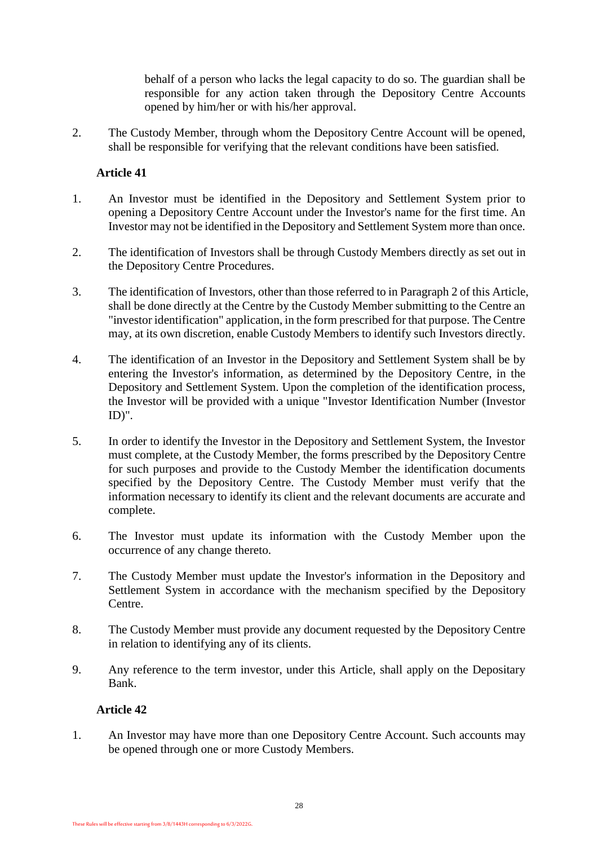behalf of a person who lacks the legal capacity to do so. The guardian shall be responsible for any action taken through the Depository Centre Accounts opened by him/her or with his/her approval.

2. The Custody Member, through whom the Depository Centre Account will be opened, shall be responsible for verifying that the relevant conditions have been satisfied.

# **Article 41**

- <span id="page-27-0"></span>1. An Investor must be identified in the Depository and Settlement System prior to opening a Depository Centre Account under the Investor's name for the first time. An Investor may not be identified in the Depository and Settlement System more than once.
- 2. The identification of Investors shall be through Custody Members directly as set out in the Depository Centre Procedures.
- 3. The identification of Investors, other than those referred to in Paragraph 2 of this Article, shall be done directly at the Centre by the Custody Member submitting to the Centre an "investor identification" application, in the form prescribed for that purpose. The Centre may, at its own discretion, enable Custody Members to identify such Investors directly.
- 4. The identification of an Investor in the Depository and Settlement System shall be by entering the Investor's information, as determined by the Depository Centre, in the Depository and Settlement System. Upon the completion of the identification process, the Investor will be provided with a unique "Investor Identification Number (Investor ID)".
- 5. In order to identify the Investor in the Depository and Settlement System, the Investor must complete, at the Custody Member, the forms prescribed by the Depository Centre for such purposes and provide to the Custody Member the identification documents specified by the Depository Centre. The Custody Member must verify that the information necessary to identify its client and the relevant documents are accurate and complete.
- 6. The Investor must update its information with the Custody Member upon the occurrence of any change thereto.
- 7. The Custody Member must update the Investor's information in the Depository and Settlement System in accordance with the mechanism specified by the Depository Centre.
- 8. The Custody Member must provide any document requested by the Depository Centre in relation to identifying any of its clients.
- 9. Any reference to the term investor, under this Article, shall apply on the Depositary Bank.

## **Article 42**

<span id="page-27-1"></span>1. An Investor may have more than one Depository Centre Account. Such accounts may be opened through one or more Custody Members.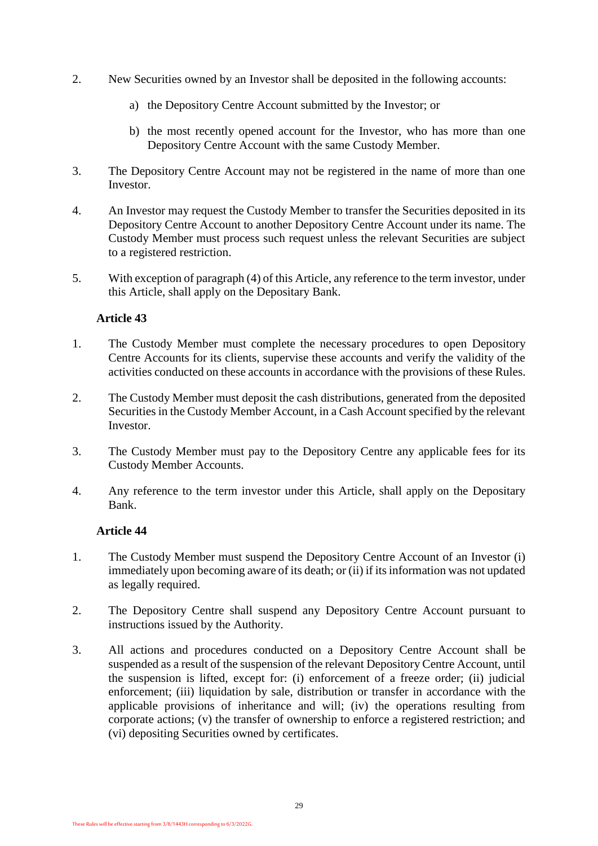- 2. New Securities owned by an Investor shall be deposited in the following accounts:
	- a) the Depository Centre Account submitted by the Investor; or
	- b) the most recently opened account for the Investor, who has more than one Depository Centre Account with the same Custody Member.
- 3. The Depository Centre Account may not be registered in the name of more than one Investor.
- 4. An Investor may request the Custody Member to transfer the Securities deposited in its Depository Centre Account to another Depository Centre Account under its name. The Custody Member must process such request unless the relevant Securities are subject to a registered restriction.
- 5. With exception of paragraph (4) of this Article, any reference to the term investor, under this Article, shall apply on the Depositary Bank.

- <span id="page-28-0"></span>1. The Custody Member must complete the necessary procedures to open Depository Centre Accounts for its clients, supervise these accounts and verify the validity of the activities conducted on these accounts in accordance with the provisions of these Rules.
- 2. The Custody Member must deposit the cash distributions, generated from the deposited Securities in the Custody Member Account, in a Cash Account specified by the relevant Investor.
- 3. The Custody Member must pay to the Depository Centre any applicable fees for its Custody Member Accounts.
- 4. Any reference to the term investor under this Article, shall apply on the Depositary Bank.

- <span id="page-28-1"></span>1. The Custody Member must suspend the Depository Centre Account of an Investor (i) immediately upon becoming aware of its death; or (ii) if its information was not updated as legally required.
- 2. The Depository Centre shall suspend any Depository Centre Account pursuant to instructions issued by the Authority.
- 3. All actions and procedures conducted on a Depository Centre Account shall be suspended as a result of the suspension of the relevant Depository Centre Account, until the suspension is lifted, except for: (i) enforcement of a freeze order; (ii) judicial enforcement; (iii) liquidation by sale, distribution or transfer in accordance with the applicable provisions of inheritance and will; (iv) the operations resulting from corporate actions; (v) the transfer of ownership to enforce a registered restriction; and (vi) depositing Securities owned by certificates.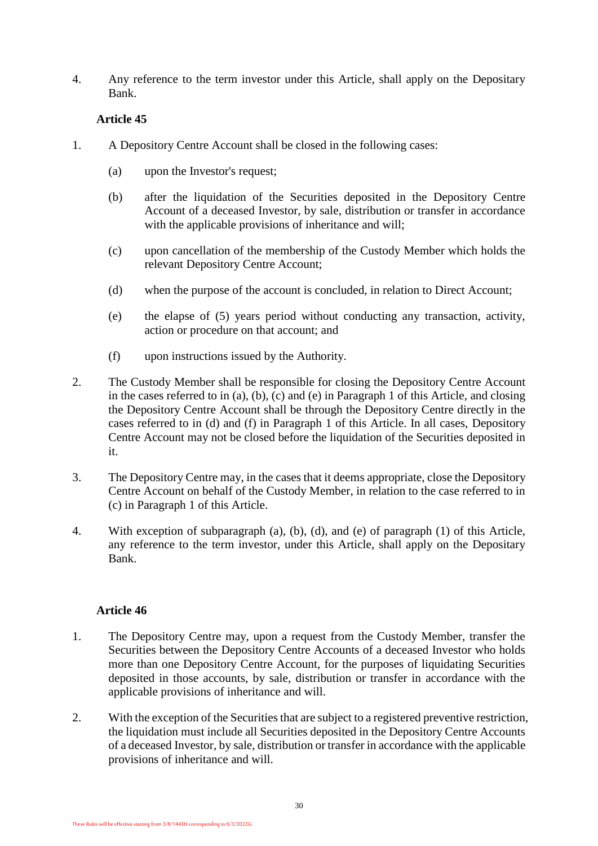4. Any reference to the term investor under this Article, shall apply on the Depositary Bank.

# **Article 45**

- <span id="page-29-0"></span>1. A Depository Centre Account shall be closed in the following cases:
	- (a) upon the Investor's request;
	- (b) after the liquidation of the Securities deposited in the Depository Centre Account of a deceased Investor, by sale, distribution or transfer in accordance with the applicable provisions of inheritance and will;
	- (c) upon cancellation of the membership of the Custody Member which holds the relevant Depository Centre Account;
	- (d) when the purpose of the account is concluded, in relation to Direct Account;
	- (e) the elapse of (5) years period without conducting any transaction, activity, action or procedure on that account; and
	- (f) upon instructions issued by the Authority.
- 2. The Custody Member shall be responsible for closing the Depository Centre Account in the cases referred to in (a), (b), (c) and (e) in Paragraph 1 of this Article, and closing the Depository Centre Account shall be through the Depository Centre directly in the cases referred to in (d) and (f) in Paragraph 1 of this Article. In all cases, Depository Centre Account may not be closed before the liquidation of the Securities deposited in it.
- 3. The Depository Centre may, in the cases that it deems appropriate, close the Depository Centre Account on behalf of the Custody Member, in relation to the case referred to in (c) in Paragraph 1 of this Article.
- 4. With exception of subparagraph (a), (b), (d), and (e) of paragraph (1) of this Article, any reference to the term investor, under this Article, shall apply on the Depositary Bank.

- <span id="page-29-1"></span>1. The Depository Centre may, upon a request from the Custody Member, transfer the Securities between the Depository Centre Accounts of a deceased Investor who holds more than one Depository Centre Account, for the purposes of liquidating Securities deposited in those accounts, by sale, distribution or transfer in accordance with the applicable provisions of inheritance and will.
- 2. With the exception of the Securities that are subject to a registered preventive restriction, the liquidation must include all Securities deposited in the Depository Centre Accounts of a deceased Investor, by sale, distribution or transfer in accordance with the applicable provisions of inheritance and will.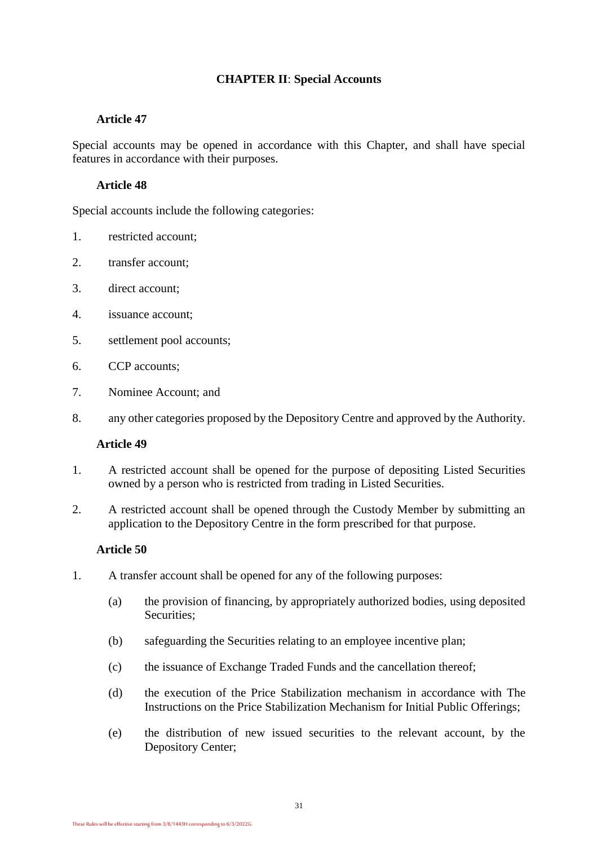# **CHAPTER II**: **Special Accounts**

## **Article 47**

<span id="page-30-0"></span>Special accounts may be opened in accordance with this Chapter, and shall have special features in accordance with their purposes.

## **Article 48**

<span id="page-30-1"></span>Special accounts include the following categories:

- 1. restricted account;
- 2. transfer account;
- 3. direct account;
- 4. issuance account;
- 5. settlement pool accounts;
- 6. CCP accounts;
- 7. Nominee Account; and
- <span id="page-30-2"></span>8. any other categories proposed by the Depository Centre and approved by the Authority.

#### **Article 49**

- 1. A restricted account shall be opened for the purpose of depositing Listed Securities owned by a person who is restricted from trading in Listed Securities.
- 2. A restricted account shall be opened through the Custody Member by submitting an application to the Depository Centre in the form prescribed for that purpose.

- <span id="page-30-3"></span>1. A transfer account shall be opened for any of the following purposes:
	- (a) the provision of financing, by appropriately authorized bodies, using deposited Securities;
	- (b) safeguarding the Securities relating to an employee incentive plan;
	- (c) the issuance of Exchange Traded Funds and the cancellation thereof;
	- (d) the execution of the Price Stabilization mechanism in accordance with [The](https://cma.org.sa/en/RulesRegulations/Regulations/Documents/Price_Stabilisation_Mechanism_IPOs_EN.pdf)  Instructions on the Price Stabilization [Mechanism for Initial Public Offerings;](https://cma.org.sa/en/RulesRegulations/Regulations/Documents/Price_Stabilisation_Mechanism_IPOs_EN.pdf)
	- (e) the distribution of new issued securities to the relevant account, by the Depository Center;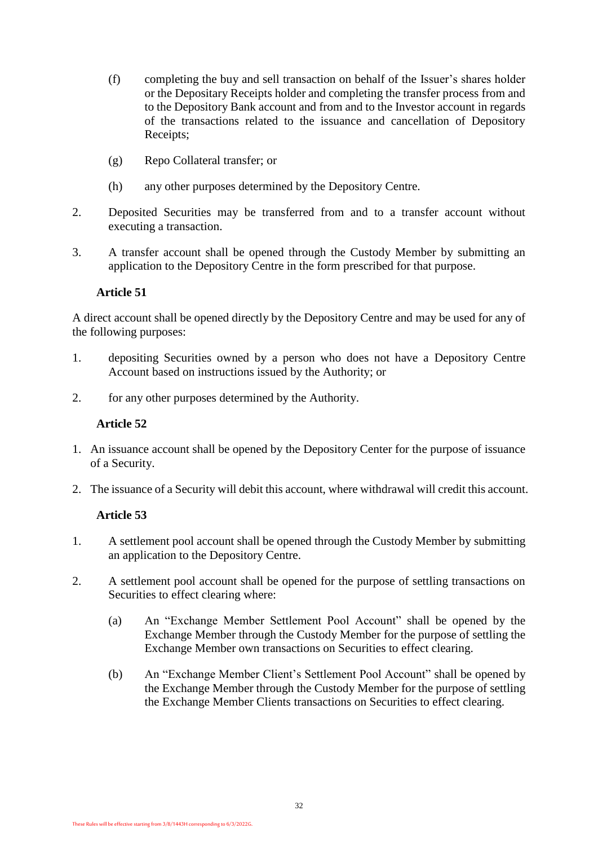- (f) completing the buy and sell transaction on behalf of the Issuer's shares holder or the Depositary Receipts holder and completing the transfer process from and to the Depository Bank account and from and to the Investor account in regards of the transactions related to the issuance and cancellation of Depository Receipts;
- (g) Repo Collateral transfer; or
- (h) any other purposes determined by the Depository Centre.
- 2. Deposited Securities may be transferred from and to a transfer account without executing a transaction.
- 3. A transfer account shall be opened through the Custody Member by submitting an application to the Depository Centre in the form prescribed for that purpose.

<span id="page-31-0"></span>A direct account shall be opened directly by the Depository Centre and may be used for any of the following purposes:

- 1. depositing Securities owned by a person who does not have a Depository Centre Account based on instructions issued by the Authority; or
- <span id="page-31-1"></span>2. for any other purposes determined by the Authority.

## **Article 52**

- 1. An issuance account shall be opened by the Depository Center for the purpose of issuance of a Security.
- <span id="page-31-2"></span>2. The issuance of a Security will debit this account, where withdrawal will credit this account.

- 1. A settlement pool account shall be opened through the Custody Member by submitting an application to the Depository Centre.
- 2. A settlement pool account shall be opened for the purpose of settling transactions on Securities to effect clearing where:
	- (a) An "Exchange Member Settlement Pool Account" shall be opened by the Exchange Member through the Custody Member for the purpose of settling the Exchange Member own transactions on Securities to effect clearing.
	- (b) An "Exchange Member Client's Settlement Pool Account" shall be opened by the Exchange Member through the Custody Member for the purpose of settling the Exchange Member Clients transactions on Securities to effect clearing.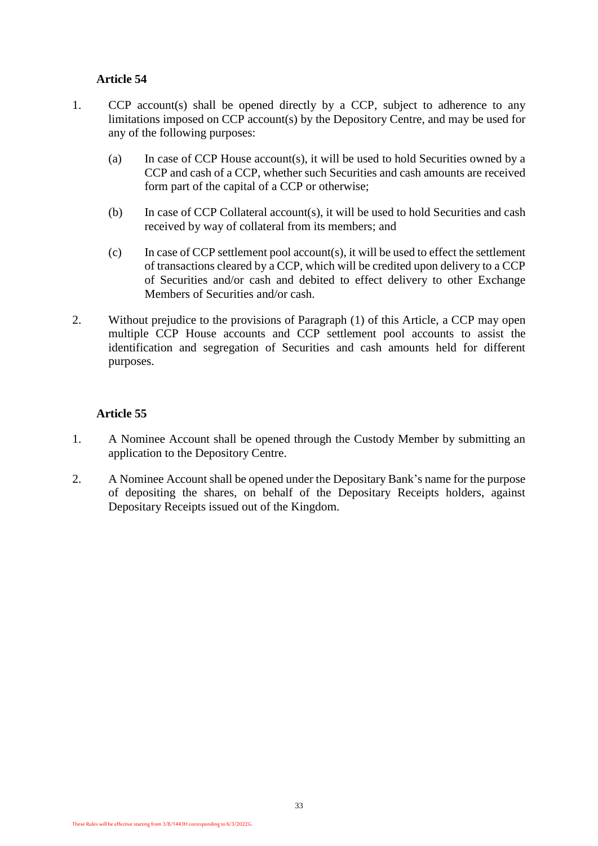- <span id="page-32-0"></span>1. CCP account(s) shall be opened directly by a CCP, subject to adherence to any limitations imposed on CCP account(s) by the Depository Centre, and may be used for any of the following purposes:
	- (a) In case of CCP House account(s), it will be used to hold Securities owned by a CCP and cash of a CCP, whether such Securities and cash amounts are received form part of the capital of a CCP or otherwise;
	- (b) In case of CCP Collateral account(s), it will be used to hold Securities and cash received by way of collateral from its members; and
	- (c) In case of CCP settlement pool account(s), it will be used to effect the settlement of transactions cleared by a CCP, which will be credited upon delivery to a CCP of Securities and/or cash and debited to effect delivery to other Exchange Members of Securities and/or cash.
- 2. Without prejudice to the provisions of Paragraph (1) of this Article, a CCP may open multiple CCP House accounts and CCP settlement pool accounts to assist the identification and segregation of Securities and cash amounts held for different purposes.

- <span id="page-32-1"></span>1. A Nominee Account shall be opened through the Custody Member by submitting an application to the Depository Centre.
- 2. A Nominee Account shall be opened under the Depositary Bank's name for the purpose of depositing the shares, on behalf of the Depositary Receipts holders, against Depositary Receipts issued out of the Kingdom.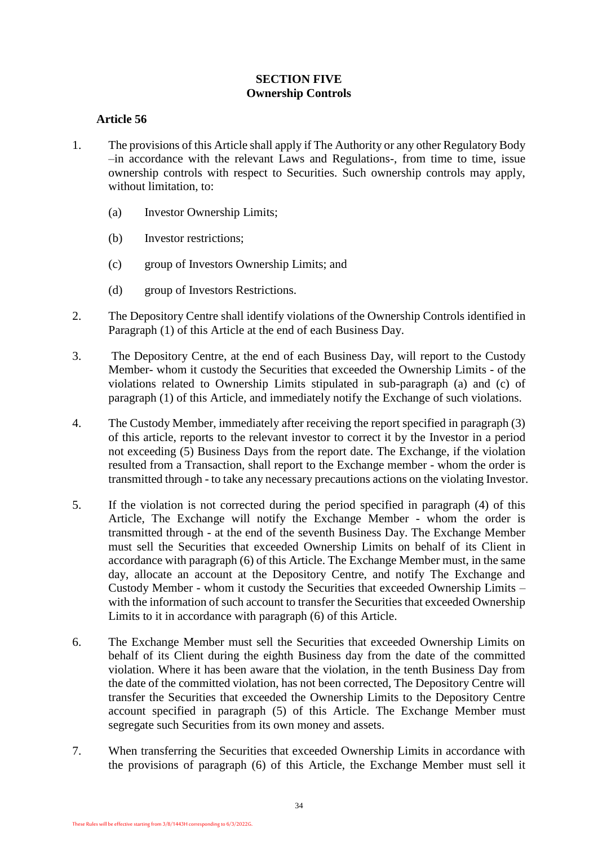# **SECTION FIVE Ownership Controls**

- <span id="page-33-1"></span><span id="page-33-0"></span>1. The provisions of this Article shall apply if The Authority or any other Regulatory Body –in accordance with the relevant Laws and Regulations-, from time to time, issue ownership controls with respect to Securities. Such ownership controls may apply, without limitation, to:
	- (a) Investor Ownership Limits;
	- (b) Investor restrictions;
	- (c) group of Investors Ownership Limits; and
	- (d) group of Investors Restrictions.
- 2. The Depository Centre shall identify violations of the Ownership Controls identified in Paragraph (1) of this Article at the end of each Business Day.
- 3. The Depository Centre, at the end of each Business Day, will report to the Custody Member- whom it custody the Securities that exceeded the Ownership Limits - of the violations related to Ownership Limits stipulated in sub-paragraph (a) and (c) of paragraph (1) of this Article, and immediately notify the Exchange of such violations.
- 4. The Custody Member, immediately after receiving the report specified in paragraph (3) of this article, reports to the relevant investor to correct it by the Investor in a period not exceeding (5) Business Days from the report date. The Exchange, if the violation resulted from a Transaction, shall report to the Exchange member - whom the order is transmitted through - to take any necessary precautions actions on the violating Investor.
- 5. If the violation is not corrected during the period specified in paragraph (4) of this Article, The Exchange will notify the Exchange Member - whom the order is transmitted through - at the end of the seventh Business Day. The Exchange Member must sell the Securities that exceeded Ownership Limits on behalf of its Client in accordance with paragraph (6) of this Article. The Exchange Member must, in the same day, allocate an account at the Depository Centre, and notify The Exchange and Custody Member - whom it custody the Securities that exceeded Ownership Limits – with the information of such account to transfer the Securities that exceeded Ownership Limits to it in accordance with paragraph (6) of this Article.
- 6. The Exchange Member must sell the Securities that exceeded Ownership Limits on behalf of its Client during the eighth Business day from the date of the committed violation. Where it has been aware that the violation, in the tenth Business Day from the date of the committed violation, has not been corrected, The Depository Centre will transfer the Securities that exceeded the Ownership Limits to the Depository Centre account specified in paragraph (5) of this Article. The Exchange Member must segregate such Securities from its own money and assets.
- 7. When transferring the Securities that exceeded Ownership Limits in accordance with the provisions of paragraph (6) of this Article, the Exchange Member must sell it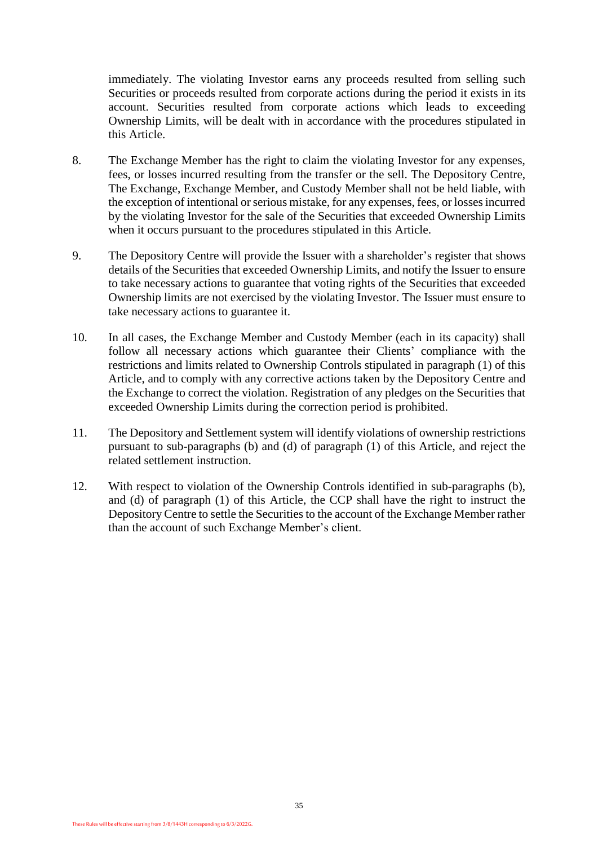immediately. The violating Investor earns any proceeds resulted from selling such Securities or proceeds resulted from corporate actions during the period it exists in its account. Securities resulted from corporate actions which leads to exceeding Ownership Limits, will be dealt with in accordance with the procedures stipulated in this Article.

- 8. The Exchange Member has the right to claim the violating Investor for any expenses, fees, or losses incurred resulting from the transfer or the sell. The Depository Centre, The Exchange, Exchange Member, and Custody Member shall not be held liable, with the exception of intentional or serious mistake, for any expenses, fees, or losses incurred by the violating Investor for the sale of the Securities that exceeded Ownership Limits when it occurs pursuant to the procedures stipulated in this Article.
- 9. The Depository Centre will provide the Issuer with a shareholder's register that shows details of the Securities that exceeded Ownership Limits, and notify the Issuer to ensure to take necessary actions to guarantee that voting rights of the Securities that exceeded Ownership limits are not exercised by the violating Investor. The Issuer must ensure to take necessary actions to guarantee it.
- 10. In all cases, the Exchange Member and Custody Member (each in its capacity) shall follow all necessary actions which guarantee their Clients' compliance with the restrictions and limits related to Ownership Controls stipulated in paragraph (1) of this Article, and to comply with any corrective actions taken by the Depository Centre and the Exchange to correct the violation. Registration of any pledges on the Securities that exceeded Ownership Limits during the correction period is prohibited.
- 11. The Depository and Settlement system will identify violations of ownership restrictions pursuant to sub-paragraphs (b) and (d) of paragraph (1) of this Article, and reject the related settlement instruction.
- 12. With respect to violation of the Ownership Controls identified in sub-paragraphs (b), and (d) of paragraph (1) of this Article, the CCP shall have the right to instruct the Depository Centre to settle the Securities to the account of the Exchange Member rather than the account of such Exchange Member's client.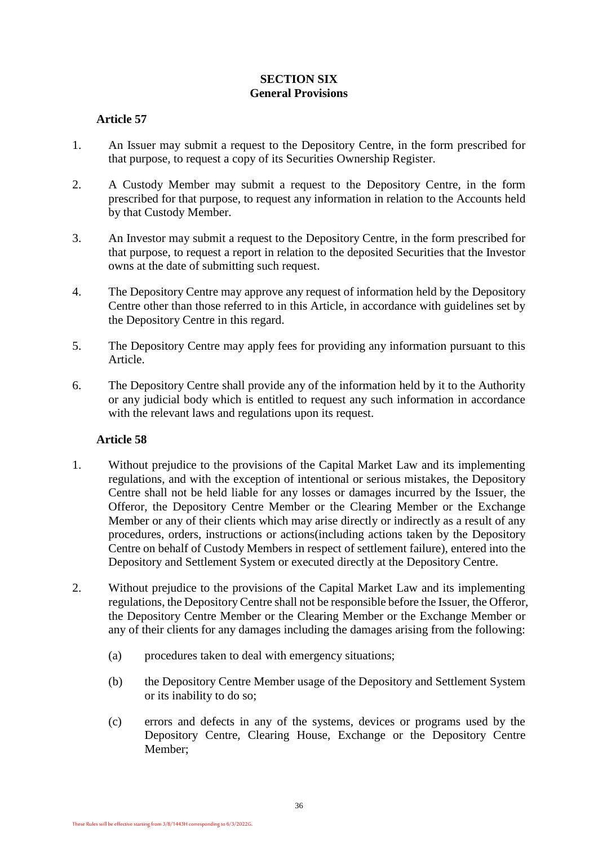# **SECTION SIX General Provisions**

# <span id="page-35-1"></span><span id="page-35-0"></span>**Article 57**

- 1. An Issuer may submit a request to the Depository Centre, in the form prescribed for that purpose, to request a copy of its Securities Ownership Register.
- 2. A Custody Member may submit a request to the Depository Centre, in the form prescribed for that purpose, to request any information in relation to the Accounts held by that Custody Member.
- 3. An Investor may submit a request to the Depository Centre, in the form prescribed for that purpose, to request a report in relation to the deposited Securities that the Investor owns at the date of submitting such request.
- 4. The Depository Centre may approve any request of information held by the Depository Centre other than those referred to in this Article, in accordance with guidelines set by the Depository Centre in this regard.
- 5. The Depository Centre may apply fees for providing any information pursuant to this Article.
- 6. The Depository Centre shall provide any of the information held by it to the Authority or any judicial body which is entitled to request any such information in accordance with the relevant laws and regulations upon its request.

- <span id="page-35-2"></span>1. Without prejudice to the provisions of the Capital Market Law and its implementing regulations, and with the exception of intentional or serious mistakes, the Depository Centre shall not be held liable for any losses or damages incurred by the Issuer, the Offeror, the Depository Centre Member or the Clearing Member or the Exchange Member or any of their clients which may arise directly or indirectly as a result of any procedures, orders, instructions or actions(including actions taken by the Depository Centre on behalf of Custody Members in respect of settlement failure), entered into the Depository and Settlement System or executed directly at the Depository Centre.
- 2. Without prejudice to the provisions of the Capital Market Law and its implementing regulations, the Depository Centre shall not be responsible before the Issuer, the Offeror, the Depository Centre Member or the Clearing Member or the Exchange Member or any of their clients for any damages including the damages arising from the following:
	- (a) procedures taken to deal with emergency situations;
	- (b) the Depository Centre Member usage of the Depository and Settlement System or its inability to do so;
	- (c) errors and defects in any of the systems, devices or programs used by the Depository Centre, Clearing House, Exchange or the Depository Centre Member;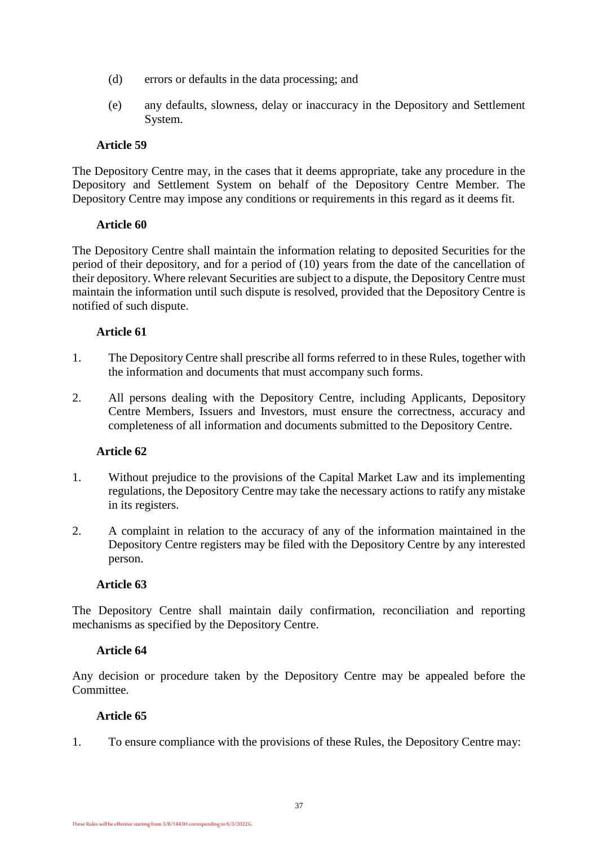- (d) errors or defaults in the data processing; and
- (e) any defaults, slowness, delay or inaccuracy in the Depository and Settlement System.

<span id="page-36-0"></span>The Depository Centre may, in the cases that it deems appropriate, take any procedure in the Depository and Settlement System on behalf of the Depository Centre Member. The Depository Centre may impose any conditions or requirements in this regard as it deems fit.

#### <span id="page-36-1"></span>**Article 60**

The Depository Centre shall maintain the information relating to deposited Securities for the period of their depository, and for a period of (10) years from the date of the cancellation of their depository. Where relevant Securities are subject to a dispute, the Depository Centre must maintain the information until such dispute is resolved, provided that the Depository Centre is notified of such dispute.

#### **Article 61**

- <span id="page-36-2"></span>1. The Depository Centre shall prescribe all forms referred to in these Rules, together with the information and documents that must accompany such forms.
- 2. All persons dealing with the Depository Centre, including Applicants, Depository Centre Members, Issuers and Investors, must ensure the correctness, accuracy and completeness of all information and documents submitted to the Depository Centre.

#### **Article 62**

- <span id="page-36-3"></span>1. Without prejudice to the provisions of the Capital Market Law and its implementing regulations, the Depository Centre may take the necessary actions to ratify any mistake in its registers.
- 2. A complaint in relation to the accuracy of any of the information maintained in the Depository Centre registers may be filed with the Depository Centre by any interested person.

#### <span id="page-36-4"></span>**Article 63**

The Depository Centre shall maintain daily confirmation, reconciliation and reporting mechanisms as specified by the Depository Centre.

#### <span id="page-36-5"></span>**Article 64**

Any decision or procedure taken by the Depository Centre may be appealed before the Committee.

#### <span id="page-36-6"></span>**Article 65**

1. To ensure compliance with the provisions of these Rules, the Depository Centre may: